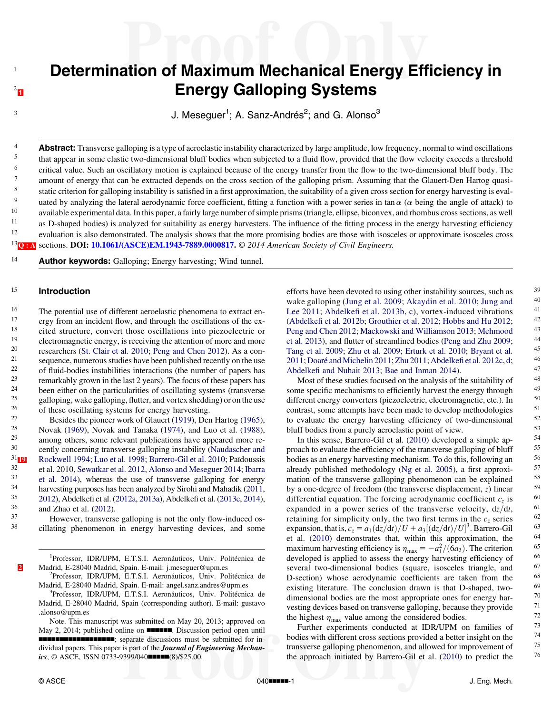# <span id="page-0-0"></span>Determination of Maximum Mechanical Energy Efficiency in **Energy Galloping Systems**

 $3$  J. Meseguer<sup>1</sup>; A. Sanz-Andrés<sup>2</sup>; and G. Alonso<sup>3</sup>

4 **Abstract:** Transverse galloping is a type of aeroelastic instability characterized by large amplitude, low frequency, normal to wind oscillations<br>that appear in some elastic two-dimensional bluff bodies when subjected t <sup>5</sup> that appear in some elastic two-dimensional bluff bodies when subjected to a fluid flow, provided that the flow velocity exceeds a threshold  $\frac{6}{7}$  critical value. Such an oscillatory motion is explained because of the energy transfer from the flow to the two-dimensional bluff body. The amount of energy that can be extracted depende on the energy cation of amount of energy that can be extracted depends on the cross section of the galloping prism. Assuming that the Glauert-Den Hartog quasi-8 static criterion for galloping instability is satisfied in a first approximation, the suitability of a given cross section for energy harvesting is eval-<br><sup>9</sup> unted by analyzing the lateral aerodynamic force coefficient. uated by analyzing the lateral aerodynamic force coefficient, fitting a function with a power series in tan  $\alpha$  ( $\alpha$  being the angle of attack) to 10 available experimental data. In this paper, a fairly large number of simple prisms (triangle, ellipse, biconvex, and rhombus cross sections, as well<br>11 as D shaped bodies) is analyzed for suitability as energy harvester <sup>11</sup> as D-shaped bodies) is analyzed for suitability as energy harvesters. The influence of the fitting process in the energy harvesting efficiency<br><sup>12</sup> evaluation is also demonstrated. The analysis shows that the more pr <sup>12</sup> evaluation is also demonstrated. The analysis shows that the more promising bodies are those with isosceles or approximate isosceles cross  $^{13}$ O: A sections. DOI: [10.1061/\(ASCE\)EM.1943-7889.0000817.](http://dx.doi.org/10.1061/(ASCE)EM.1943-7889.0000817)  $\odot$  2014 American Society of Civil Engineers.

<sup>14</sup> Author keywords: Galloping; Energy harvesting; Wind tunnel.

#### <sup>15</sup> Introduction

<sup>16</sup> The potential use of different aeroelastic phenomena to extract en-<br><sup>17</sup>  $\frac{17}{2}$  are incident flow and through the coalletions of the ex- $17$  ergy from an incident flow, and through the oscillations of the ex-<br> $18$  existed structure, convert those oscillations into piezoelectric or <sup>18</sup> cited structure, convert those oscillations into piezoelectric or  $\frac{19}{12}$  electromagnetic energy is receiving the attention of more and more <sup>19</sup> electromagnetic energy, is receiving the attention of more and more<br><sup>20</sup> essent let al. 2010; Peng and Chen 2012), As a con-<sup>20</sup> researchers [\(St. Clair et al. 2010;](#page-7-0) [Peng and Chen 2012](#page-7-0)). As a con-<br><sup>21</sup> required numerous studies have been published recently on the use <sup>21</sup> sequence, numerous studies have been published recently on the use  $\frac{22}{\pi}$  of fluid hodies instabilities interactions (the number of papers has <sup>22</sup> of fluid-bodies instabilities interactions (the number of papers has<br><sup>23</sup> comprished requires the less 2 years). The focus of these papers has  $^{23}$  remarkably grown in the last 2 years). The focus of these papers has  $^{24}$  heap either on the particularities of oscillating systems (transverse) <sup>24</sup> been either on the particularities of oscillating systems (transverse<br> $\frac{25}{25}$  colloning weke celloning flutter and vortex shotding) or on the use <sup>25</sup> galloping, wake galloping, flutter, and vortex shedding) or on the use<br><sup>26</sup> of these oscillating systems for energy harvesting <sup>26</sup> of these oscillating systems for energy harvesting.<br><sup>27</sup> Besides the pioneer work of Glauert (1919). Der

<sup>27</sup> Besides the pioneer work of Glauert ([1919](#page-6-0)), Den Hartog ([1965\)](#page-6-0),<br><sup>28</sup> Novek (1969), Novek and Tangka (1974), and Luo at al. (1988) <sup>28</sup> Novak [\(1969](#page-6-0)), Novak and Tanaka [\(1974](#page-7-0)), and Luo et al. ([1988\)](#page-6-0),<br><sup>29</sup> nong others, some relevant publications have appeared more re- $^{29}$  among others, some relevant publications have appeared more re-<br> $^{30}$  contly concerning transverse gallering instability (Naudeepher and <sup>30</sup> cently concerning transverse galloping instability ([Naudascher and](#page-6-0)  $^{31}$ <sub>III</sub>) Rockwell 1994: Luo et al. 1998: Barrero-Gil et al. 2010: Païdoussis  $\frac{31}{18}$  Rockwell [19](#page-8-0)94; [Luo et al. 1998;](#page-6-0) [Barrero-Gil et al. 2010;](#page-6-0) Païdoussis<br>32 et al. 2010. Sewatkar et al. 2012. Alonso and Meseguer 2014; Ibarra  $\frac{32}{33}$  et al. 2010, [Sewatkar et al. 2012,](#page-7-0) [Alonso and Meseguer 2014](#page-6-0); [Ibarra](#page-6-0)<br> $\frac{33}{33}$  et al. 2014), whereas the use of transverse galloning for energy <sup>33</sup> [et al. 2014\)](#page-6-0), whereas the use of transverse galloping for energy<br><sup>34</sup> harvesting purposes has been applyzed by Sirobi and Mahadik (2011)  $\frac{34}{2012}$  harvesting purposes has been analyzed by Sirohi and Mahadik [\(2011,](#page-7-0)  $\frac{35}{2012}$ ) Abdellet at al. (2012a, 2014)  $\frac{35}{2012}$  $\frac{35}{2012}$  $\frac{35}{2012}$ , Abdelkefi et al. [\(2012a,](#page-6-0) [2013a](#page-6-0)), Abdelkefi et al. ([2013c](#page-6-0), [2014\)](#page-6-0),  $\frac{36}{37}$  and Zhao et al. ([2012](#page-7-0)).

<sup>37</sup> However, transverse galloping is not the only flow-induced os-<br><sup>38</sup> cillating phasemanan in aparay harvesting davises, and some cillating phenomenon in energy harvesting devices, and some

1 Professor, IDR/UPM, E.T.S.I. Aeronáuticos, Univ. Politécnica de [2](#page-8-0) Madrid, E-28040 Madrid, Spain. E-mail: [j.meseguer@upm.es](mailto:j.meseguer@upm.es)

Professor, IDR/UPM, E.T.S.I. Aeronáuticos, Univ. Politécnica de Madrid, E-28040 Madrid, Spain. E-mail: [angel.sanz.andres@upm.es](mailto:angel.sanz.andres@upm.es) <sup>3</sup>

Professor, IDR/UPM, E.T.S.I. Aeronáuticos, Univ. Politécnica de Madrid, E-28040 Madrid, Spain (corresponding author). E-mail: [gustavo](mailto:gustavo.alonso@upm.es) [.alonso@upm.es](mailto:gustavo.alonso@upm.es)

Note. This manuscript was submitted on May 20, 2013; approved on May 2, 2014; published online on **nonnerior**. Discussion period open until **NNNNNNNNNNNNNNNN**; separate discussions must be submitted for individual papers. This paper is part of the Journal of Engineering Mechan $ics, \odot$  ASCE, ISSN 0733-9399/040 $\blacksquare$  $\blacksquare$  $(8)/$25.00$ .

efforts have been devoted to using other instability sources, such as  $\frac{39}{2010}$ : we are  $\frac{1}{2010}$  and  $\frac{40}{2010}$ wake galloping ([Jung et al. 2009;](#page-6-0) [Akaydin et al. 2010;](#page-6-0) [Jung and](#page-6-0)  $^{40}$ <br>Lee 2011: Abdelkafi et al. 2013b. c), vortex induced vibrations  $^{40}$ [Lee 2011](#page-6-0); Abdelkefi [et al. 2013b,](#page-6-0) [c](#page-6-0)), vortex-induced vibrations  $^{41}$ <br>(Abdelkefi et al. 2012b; Grouthier et al. 2012; Hobbs and Hy 2012; (Abdelkefi [et al. 2012b](#page-6-0); [Grouthier et al. 2012](#page-6-0); [Hobbs and Hu 2012](#page-6-0);  $^{42}$ <br>Pang and Chan 2012; Mackowski and Williamson 2013; Mahmood  $^{43}$ [Peng and Chen 2012](#page-7-0); [Mackowski and Williamson 2013;](#page-6-0) [Mehmood](#page-6-0) et al. 2013), and flutter of streamlined bodies (Peng and Zbu 2009. [et al. 2013\)](#page-6-0), and flutter of streamlined bodies ([Peng and Zhu 2009](#page-7-0);  $^{44}$ <br>Tang et al. 2009; Zhu et al. 2009; Erturk et al. 2010; Bryant et al.  $^{45}$ [Tang et al. 2009](#page-7-0); [Zhu et al. 2009](#page-7-0); [Erturk et al. 2010;](#page-6-0) [Bryant et al.](#page-6-0)  $^{45}$ <br>2011: Doaré and Michelin 2011: Zhu 2011: Abdelkefi et al. 2012c. d.  $^{46}$ [2011;](#page-6-0) [Doaré and Michelin 2011](#page-6-0); [Zhu 2011;](#page-7-0) Abdelkefi [et al. 2012c,](#page-6-0) [d](#page-6-0);<br>Abdelkefi end Nubeit 2013; Bee and Inman 2014). Abdelkefi [and Nuhait 2013;](#page-6-0) [Bae and Inman 2014\)](#page-6-0).  $47$ <br>Most of those studies focused on the anglysis of the suitability of  $48$ 

Most of these studies focused on the analysis of the suitability of some specific mechanisms to efficiently harvest the energy through  $49$ <br>different energy converters (piezoelectric, electromagnetic, etc.) In  $50$ different energy converters (piezoelectric, electromagnetic, etc.). In  $50$ <br>contrast, some attempts have been made to develop methodologies  $51$ contrast, some attempts have been made to develop methodologies  $\frac{51}{2}$ <br>to evaluate the energy harvesting efficiency of two-dimensional  $\frac{52}{2}$ to evaluate the energy harvesting efficiency of two-dimensional  $52$ <br>bluff bodies from a puraly expolaction point of view bluff bodies from a purely aeroelastic point of view.<br>In this sense, Barrero Gil et al. (2010) developed a simple ap

In this sense, Barrero-Gil et al.  $(2010)$  $(2010)$  developed a simple ap-<br>bach to evaluate the efficiency of the transverse galloning of bluff 55 proach to evaluate the efficiency of the transverse galloping of bluff  $\frac{55}{60}$ bodies as an energy harvesting mechanism. To do this, following an  $56$ <br>already published methodology (Ng et al. 2005), a first approxi-already published methodology [\(Ng et al. 2005](#page-6-0)), a first approximation of the transverse galloning phenomenon can be explained  $=$  58 mation of the transverse galloping phenomenon can be explained  $\frac{58}{100}$ <br>hy a one degree of freedom (the transverse displacement z) linear  $\frac{59}{100}$ by a one-degree of freedom (the transverse displacement, z) linear  $59$ <br>differential caustion. The foreing accoduramic coefficient a is  $60$ differential equation. The forcing aerodynamic coefficient  $c_z$  is  $\frac{60}{25}$ <br>expanded in a power series of the transverse velocity  $dz/dt = 61$ expanded in a power series of the transverse velocity,  $dz/dt$ ,  $61$ <br>retaining for simplicity only the two first terms in the c series  $62$ retaining for simplicity only, the two first terms in the  $c_z$  series<br>expansion that is  $c = a_r (dz/dt) / U + a_s [(dz/dt) / U]^3$  Barrero-Gil 63 expansion, that is,  $c_z = a_1(\frac{dz}{dt})/U + a_3[(\frac{dz}{dt})/U]^3$ . Barrero-Gil 63<br>et al. (2010) demonstrates that within this approximation the 64 3 . Barrero-Gil et al. [\(2010](#page-6-0)) demonstrates that, within this approximation, the  $\frac{64}{2}$ <br>maximum harvesting efficiency is  $n = -\frac{a^2}{62}$ . The criterion  $\frac{65}{2}$ maximum harvesting efficiency is  $\eta_{\text{max}} = -a_1^2/(\tilde{6}a_3)$ . The criterion 65<br>developed is applied to assess the energy harvesting efficiency of 66 developed is applied to assess the energy harvesting efficiency of 66<br>several two dimensional bodies (square isosceles triangle and 67 several two-dimensional bodies (square, isosceles triangle, and  $\frac{67}{68}$ D-section) whose aerodynamic coefficients are taken from the  $\frac{68}{9}$  existing literature. The conclusion drawn is that D shaped two  $\frac{69}{9}$ existing literature. The conclusion drawn is that D-shaped, two-<br>dimensional bodies are the most appropriate ones for energy har-<br> $\frac{70}{2}$ dimensional bodies are the most appropriate ones for energy har-<br>vesting devices based on transverse galloning, because they provide  $\frac{71}{2}$ vesting devices based on transverse galloping, because they provide  $\frac{71}{72}$ the highest  $\eta_{\text{max}}$  value among the considered bodies.  $\frac{72}{120}$ <br>Further experiments conducted at IDR/IIPM on families of  $\frac{73}{120}$ 

Further experiments conducted at IDR/UPM on families of  $^{73}$ <br>disc with different cross sections provided a better insight on the  $^{74}$ bodies with different cross sections provided a better insight on the  $\frac{74}{12}$ transverse galloping phenomenon, and allowed for improvement of  $\frac{75}{10}$  the energy contract the  $\frac{75}{10}$ <sup>76</sup> the approach initiated by Barrero-Gil et al. ([2010\)](#page-6-0) to predict the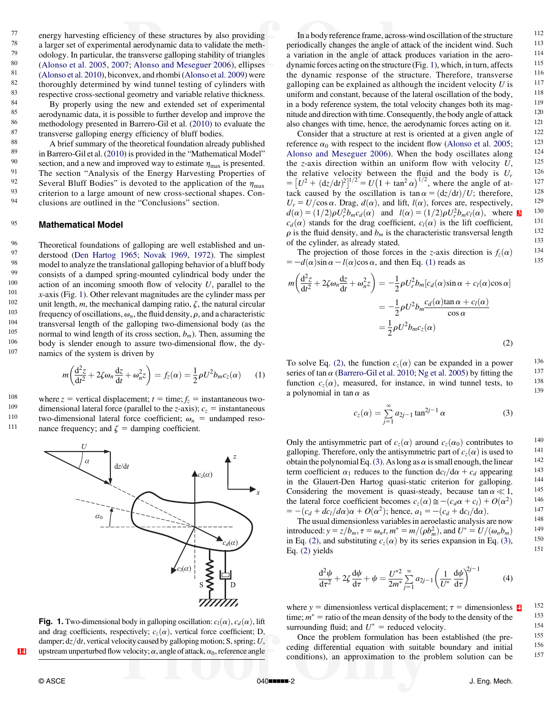<span id="page-1-0"></span>27 energy harvesting efficiency of these structures by also providing<br>
28 a larger set of experimental aerodynamic data to validate the meth- $^{78}$  a larger set of experimental aerodynamic data to validate the meth-<br> $^{79}$  edelegy In perticular, the transverse callering otehility of triangles <sup>79</sup> odology. In particular, the transverse galloping stability of triangles<br> $\frac{80}{(4 \text{ long of 12005} \cdot 2007 \cdot \text{ Along 2006})}$  elliness <sup>80</sup> [\(Alonso et al. 2005](#page-6-0), [2007](#page-6-0); [Alonso and Meseguer 2006](#page-6-0)), ellipses  $\frac{81}{(4 \text{ longo et al } 2010) \text{ biconvex and rhombi (Alonso et al } 2009) \text{ were}}$ <sup>81</sup> [\(Alonso et al. 2010\)](#page-6-0), biconvex, and rhombi ([Alonso et al. 2009](#page-6-0)) were<br><sup>82</sup> thoroughly determined by wind tunnel testing of cylinders with  $^{82}$  thoroughly determined by wind tunnel testing of cylinders with<br> $^{83}$  respective cross-sectional geometry and variable relative thickness  $^{83}$  respective cross-sectional geometry and variable relative thickness.<br> $^{84}$  Ry properly using the new and extended set of experimental

 $^{84}$  By properly using the new and extended set of experimental  $^{85}$  experimental  $^{85}$ <sup>85</sup> aerodynamic data, it is possible to further develop and improve the  $\frac{86}{2040}$ <sup>86</sup> methodology presented in Barrero-Gil et al. [\(2010](#page-6-0)) to evaluate the  $\frac{87}{100}$  transverse calloning energy efficiency of bluff bodies  $87$  transverse galloping energy efficiency of bluff bodies.<br> $88$  A brief summary of the theoretical foundation alread

88  $\mu$  A brief summary of the theoretical foundation already published<br>89  $\mu$  in Barrero-Gil et al. (2010) is provided in the "Mathematical Model" <sup>89</sup> in Barrero-Gil et al. [\(2010](#page-6-0)) is provided in the "Mathematical Model"<br><sup>90</sup> section, and a new and improved way to estimate *n* is presented 90 section, and a new and improved way to estimate  $\eta_{\text{max}}$  is presented.<br>91 The section "Analysis of the Energy Harvesting Properties of <sup>91</sup> The section "Analysis of the Energy Harvesting Properties of  $\frac{92}{100}$  Several Bluff Bodies" is devoted to the application of the *n* 92 Several Bluff Bodies" is devoted to the application of the  $\eta_{\text{max}}$  criterion to a large amount of new cross-sectional shapes. Con-<br>94 clusions are outlined in the "Conclusions" section clusions are outlined in the "Conclusions" section.

#### 95 Mathematical Model

<sup>96</sup> Theoretical foundations of galloping are well established and un-<br><sup>97</sup> derstood (Den Hartog 1965; Novak 1969, 1972). The simplest <sup>97</sup> derstood ([Den Hartog 1965](#page-6-0); [Novak 1969,](#page-6-0) [1972\)](#page-6-0). The simplest model to analyze the translational galloning behavior of a bluff body  $^{98}$  model to analyze the translational galloping behavior of a bluff body<br> $^{99}$  consists of a damped spring-mounted cylindrical body under the <sup>99</sup> consists of a damped spring-mounted cylindrical body under the action of an incoming smooth flow of velocity *U* parallel to the <sup>100</sup> action of an incoming smooth flow of velocity U, parallel to the  $\frac{101}{100}$  x axis (Fig. 1). Other relevant magnitudes are the ovlinder mass per <sup>101</sup> *x*-axis (Fig. 1). Other relevant magnitudes are the cylinder mass per  $\frac{102}{\pi}$  unit length *m* the mechanical damning ratio  $\zeta$  the natural circular <sup>102</sup> unit length, m, the mechanical damping ratio,  $\zeta$ , the natural circular frequency of oscillations  $\omega$ , the fluid density  $\omega$  and a characteristic <sup>103</sup> frequency of oscillations,  $\omega_n$ , the fluid density,  $\rho$ , and a characteristic transversel length of the calledy and imaginal hedy (eq. the transversal length of the galloping two-dimensional body (as the normal to wind length of its cross section  $h_{\rm m}$ ). Then assuming the 105 normal to wind length of its cross section,  $b_m$ ). Then, assuming the  $\frac{106}{100}$  hody is slender enough to assume two-dimensional flow the dy-<sup>106</sup> body is slender enough to assure two-dimensional flow, the dy-<br> $\frac{107}{2}$  namics of the system is driven by namics of the system is driven by

$$
m\left(\frac{\mathrm{d}^2 z}{\mathrm{d}t^2} + 2\zeta \omega_n \frac{\mathrm{d}z}{\mathrm{d}t} + \omega_n^2 z\right) = f_z(\alpha) = \frac{1}{2}\rho U^2 b_m c_z(\alpha) \qquad (1)
$$

<sup>108</sup> where  $z =$  vertical displacement;  $t =$  time;  $f_z =$  instantaneous two-<br><sup>109</sup> dimensional lateral force (parallel to the z-axis);  $c =$  instantaneous 109 dimensional lateral force (parallel to the z-axis);  $c_z$  = instantaneous<br>110 two-dimensional lateral force coefficient:  $\omega$  = undamned reso-110 two-dimensional lateral force coefficient;  $\omega_n$  = undamped reso-<br>111 nance frequency: and  $\zeta$  = damping coefficient nance frequency; and  $\zeta$  = damping coefficient.



**Fig. 1.** Two-dimensional body in galloping oscillation:  $c_l(\alpha)$ ,  $c_d(\alpha)$ , lift and drag coefficients, respectively;  $c_z(\alpha)$ , vertical force coefficient; D, damper;  $dz/dt$ , vertical velocity caused by galloping motion; S, spring; U, [14](#page-8-0) upstream unperturbed flow velocity;  $\alpha$ , angle of attack,  $\alpha_0$ , reference angle

In a body reference frame, across-wind oscillation of the structure  $112$ <br>indically changes the angle of attack of the incident wind. Such  $113$ periodically changes the angle of attack of the incident wind. Such  $^{113}$ a variation in the angle of attack produces variation in the aero-<br>
dynamic forces acting on the structure (Fig. 1) which in turn affects  $115$ dynamic forces acting on the structure (Fig. 1), which, in turn, affects  $115$ <br>the dynamic response of the structure Therefore transverse  $116$ the dynamic response of the structure. Therefore, transverse  $116$ <br>calloning can be explained as although the incident velocity  $U$  is  $117$ galloping can be explained as although the incident velocity  $U$  is  $117$ <br>uniform and constant because of the lateral oscillation of the body  $118$ uniform and constant, because of the lateral oscillation of the body,  $^{118}$ <br>in a body reference system, the total velocity changes both its mag,  $^{119}$ in a body reference system, the total velocity changes both its mag-<br>nitude and direction with time. Consequently, the body angle of attack  $120$ nitude and direction with time. Consequently, the body angle of attack also changes with time, hence the aerodynamic forces acting on it also changes with time, hence, the aerodynamic forces acting on it.  $\frac{121}{22}$ <br>Consider that a structure at rest is oriented at a given angle of  $\frac{122}{22}$ 

Consider that a structure at rest is oriented at a given angle of  $122$ <br>expressed to the incident flow (Alonso et al. 2005;  $123$ reference  $\alpha_0$  with respect to the incident flow [\(Alonso et al. 2005](#page-6-0);  $^{123}$ <br>Alonso and Mesequer 2006). When the body oscillates along  $^{124}$ [Alonso and Meseguer 2006](#page-6-0)). When the body oscillates along  $124$ <br>the z-axis direction within an uniform flow with velocity  $I_1$   $125$ the z-axis direction within an uniform flow with velocity  $U$ ,  $125$ <br>the relative velocity between the fluid and the body is  $U$ the relative velocity between the fluid and the body is  $U_r = \frac{126}{\left[\frac{I}{2}\right]}\left(\frac{1}{\left(\frac{1}{2}\right)^{2}} - \frac{I}{2}\left(1 + \frac{1}{2}\right)^{1/2}\right)$  where the engle of  $\frac{1}{2}$  $= [U^2 + (dz/dt)^2]^{1/2} = U(1 + \tan^2 \alpha)^{1/2}$ , where the angle of at-<br>tack caused by the oscillation is  $\tan \alpha = (dz/dt)/U$ ; therefore 128 tack caused by the oscillation is  $\tan \alpha = \frac{dz}{dt}/U$ ; therefore, 128<br> $U = U/\cos \alpha$ . First,  $d(\alpha)$ , and lift  $J(\alpha)$ , forces are respectively  $U_r = U/\cos \alpha$ . Drag,  $d(\alpha)$ , and lift,  $l(\alpha)$ , forces are, respectively,  $d(\alpha) = (1/2)\alpha U^2 h$ ,  $c(\alpha)$ , where  $\blacksquare$  130  $d(\alpha) = (1/2)\rho U_r^2 b_m c_d(\alpha)$  and  $l(\alpha) = (1/2)\rho U_r^2 b_m c_l(\alpha)$ , where **8** <sup>1[3](#page-8-0)0</sup><br>c<sub>1</sub>( $\alpha$ ) stands for the drag coefficient c<sub>1</sub>( $\alpha$ ) is the lift coefficient <sup>131</sup>  $c_d(\alpha)$  stands for the drag coefficient,  $c_l(\alpha)$  is the lift coefficient,  $\frac{131}{2}$  $\rho$  is the fluid density, and  $b_m$  is the characteristic transversal length  $\frac{132}{133}$ of the cylinder, as already stated. 133<br>The projection of those forces in the z-axis direction is  $f(\alpha)$  134

The projection of those forces in the z-axis direction is  $f_z(\alpha) = \frac{134}{\pi}$ <br> $-d(\alpha)\sin \alpha - l(\alpha)\cos \alpha$  and then Eq. (1) reads as  $= -d(\alpha)\sin \alpha - l(\alpha)\cos \alpha$ , and then Eq. (1) reads as

$$
m\left(\frac{d^2z}{dt^2} + 2\zeta\omega_n\frac{dz}{dt} + \omega_n^2 z\right) = -\frac{1}{2}\rho U_r^2 b_m[c_d(\alpha)\sin\alpha + c_l(\alpha)\cos\alpha]
$$
  

$$
= -\frac{1}{2}\rho U^2 b_m \frac{c_d(\alpha)\tan\alpha + c_l(\alpha)}{\cos\alpha}
$$
  

$$
= \frac{1}{2}\rho U^2 b_m c_z(\alpha)
$$
 (2)

To solve Eq. (2), the function  $c_z(\alpha)$  can be expanded in a power 136 series of tan  $\alpha$  (Barrero-Gil et al. 2010; Ng et al. 2005) by fitting the 137 series of tan  $\alpha$  [\(Barrero-Gil et al. 2010](#page-6-0); [Ng et al. 2005](#page-6-0)) by fitting the  $\frac{137}{138}$ function  $c_z(\alpha)$ , measured, for instance, in wind tunnel tests, to  $138$ <br>a polynomial in tap  $\alpha$  as a polynomial in tan  $\alpha$  as

$$
c_z(\alpha) = \sum_{j=1}^{\infty} a_{2j-1} \tan^{2j-1} \alpha
$$
 (3)

Only the antisymmetric part of  $c_z(\alpha)$  around  $c_z(\alpha_0)$  contributes to  $140$ <br>calloning Therefore, only the antisymmetric part of  $c_z(\alpha)$  is used to  $141$ galloping. Therefore, only the antisymmetric part of  $c_z(\alpha)$  is used to  $141$ <br>obtain the polynomial Eq. (3). As long as  $\alpha$  is small enough, the linear  $142$ obtain the polynomial Eq. (3). As long as  $\alpha$  is small enough, the linear  $142$ <br>term coefficient  $\alpha_1$  reduces to the function  $\frac{dc_1}{d\alpha} + c_2$  annearing  $143$ term coefficient  $\alpha_1$  reduces to the function dc<sub>l</sub>/d $\alpha + c_d$  appearing 143 in the Glaugri Dan Hartog quasi static criterion for galloning 144 in the Glauert-Den Hartog quasi-static criterion for galloping.  $144$ <br>Considering the movement is quasi-standy because tap  $\alpha \ll 1$ Considering the movement is quasi-steady, because  $\tan \alpha \ll 1$ ,  $145$ <br>the lateral force coefficient becomes  $c(\alpha) \approx -(\alpha \alpha + \alpha) + O(\alpha^2)$  146 the lateral force coefficient becomes  $c_z(\alpha) \approx -(c_d\alpha+c_l) + O(\alpha^2)$  146<br>=  $(c_z + d_{\alpha}/d_{\alpha})\approx + O(\alpha^2)$  $= -(c_d + dc_l/d\alpha)\alpha + O(\alpha^2)$ ; hence,  $a_1 = -(c_d + dc_l/d\alpha)$ .<br>The would imagginal sequential to in expected is a polygical party of the 148

The usual dimensionless variables in aeroelastic analysis are now  $148$ <br>roduced:  $y = \pi/h$ ,  $\pi = \omega + m^* = m/(ab^2)$ , and  $U^* = U/(\omega, h)$ , 149 introduced:  $y = z/b_m$ ,  $\tau = \omega_n t$ ,  $m^* = m/(\rho b_m^2)$ , and  $U^* = U/(\omega_n b_m)$  149<br>in Eq. (2) and substituting  $c(\alpha)$  by its series expansion in Eq. (3) 150 in Eq. (2), and substituting  $c_z(\alpha)$  by its series expansion in Eq. (3),  $150$ <br>Eq. (2) yields Eq.  $(2)$  yields

$$
\frac{d^2\psi}{d\tau^2} + 2\zeta \frac{d\psi}{d\tau} + \psi = \frac{U^{*2}}{2m^*} \sum_{j=1}^{\infty} a_{2j-1} \left(\frac{1}{U^*} \frac{d\psi}{d\tau}\right)^{2j-1}
$$
(4)

where y = dimensionless vertical displacement;  $\tau$  = dimensionless  $\blacksquare$  152<br>time:  $m^*$  = ratio of the mean density of the hody to the density of the time;  $m^*$  = ratio of the mean density of the body to the density of the  $153$ <br>surrounding fluid: and  $U^*$  = reduced velocity surrounding fluid; and  $U^*$  = reduced velocity.  $154$ <br>Once the problem formulation has been established (the problem

Once the problem formulation has been established (the pre-<br> $\frac{155}{156}$ ceding differential equation with suitable boundary and initial  $156$ <br>conditions) an approximation to the problem solution can be conditions), an approximation to the problem solution can be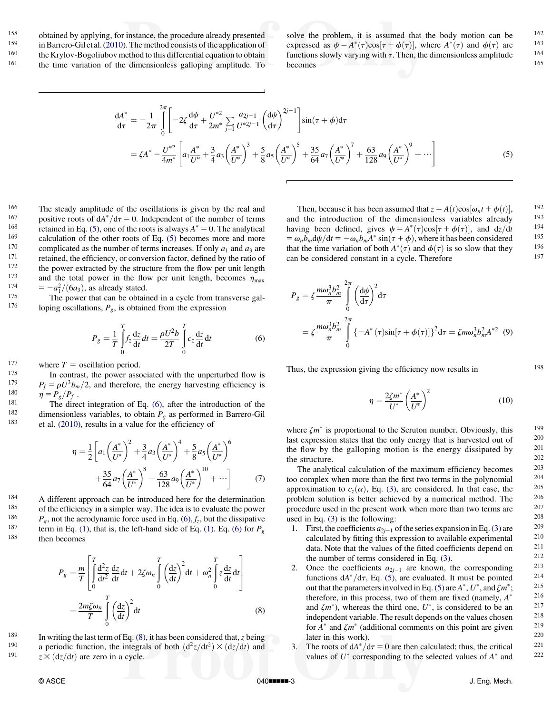<span id="page-2-0"></span>158 obtained by applying, for instance, the procedure already presented<br>159 in Barrero-Giletal (2010). The method consists of the application of <sup>159</sup> in Barrero-Gil et al. [\(2010](#page-6-0)). The method consists of the application of  $\frac{160}{160}$  the *V*<sub>r</sub>uley Becaliubey method to this differential constant to obtain  $160$  the Krylov-Bogoliubov method to this differential equation to obtain the time variation of the dimensionless galloping amplitude. To the time variation of the dimensionless galloping amplitude. To solve the problem, it is assumed that the body motion can be  $162$ <br>expressed as  $y = A^*(\tau) \cos(\tau + A(\tau))$  where  $A^*(\tau)$  and  $A(\tau)$  are  $163$ expressed as  $\psi = A^*(\tau)\cos[\tau + \phi(\tau)]$ , where  $A^*(\tau)$  and  $\phi(\tau)$  are 163<br>functions slowly varying with  $\tau$ . Then, the dimensionless amplitude 164 becomes and the company of the company of the company of the company of the company of the company of the company of the company of the company of the company of the company of the company of the company of the company of

$$
\frac{dA^*}{d\tau} = -\frac{1}{2\pi} \int_0^{2\pi} \left[ -2\zeta \frac{d\psi}{d\tau} + \frac{U^{*2}}{2m^*} \sum_{j=1} \frac{a_{2j-1}}{U^{*2j-1}} \left( \frac{d\psi}{d\tau} \right)^{2j-1} \right] \sin(\tau + \phi) d\tau
$$
\n
$$
= \zeta A^* - \frac{U^{*2}}{4m^*} \left[ a_1 \frac{A^*}{U^*} + \frac{3}{4} a_3 \left( \frac{A^*}{U^*} \right)^3 + \frac{5}{8} a_5 \left( \frac{A^*}{U^*} \right)^5 + \frac{35}{64} a_7 \left( \frac{A^*}{U^*} \right)^7 + \frac{63}{128} a_9 \left( \frac{A^*}{U^*} \right)^9 + \cdots \right] \tag{5}
$$

<sup>166</sup> The steady amplitude of the oscillations is given by the real and  $\frac{167}{167}$  realistics reads of  $44* / 4 = 0$ . Independent of the number of tarms <sup>167</sup> positive roots of  $dA^*/d\tau = 0$ . Independent of the number of terms<br><sup>168</sup> positive din Eq. (5) are of the neets is always  $A^* = 0$ . The spakified <sup>168</sup> retained in Eq. (5), one of the roots is always  $A^* = 0$ . The analytical  $169$  colculation of the other roots of Eq. (5) becomes more and more <sup>169</sup> calculation of the other roots of Eq. (5) becomes more and more complicated as the number of terms increases. If only  $a_1$  and  $a_2$  are 170 complicated as the number of terms increases. If only  $a_1$  and  $a_3$  are retained, the efficiency, or conversion factor, defined by the ratio of the nower extracted by the structure from the flow per unit length <sup>172</sup> the power extracted by the structure from the flow per unit length  $\frac{173}{2}$  and the total power in the flow per unit length becomes n <sup>173</sup> and the total power in the flow per unit length, becomes  $\eta_{\text{max}} = -a_1^2/(6a_3)$ , as already stated.<br>
<sup>175</sup> The power that can be obtained in a cycle from transverse cal- $=$   $-a_1^2/(6a_3)$ , as already stated.

<sup>175</sup> The power that can be obtained in a cycle from transverse gal-<br><sup>176</sup> Ioning oscillations  $P_1$  is obtained from the expression loping oscillations,  $P_g$ , is obtained from the expression

$$
P_g = \frac{1}{T} \int_0^T f_z \frac{\mathrm{d}z}{\mathrm{d}t} dt = \frac{\rho U^2 b}{2T} \int_0^T c_z \frac{\mathrm{d}z}{\mathrm{d}t} \mathrm{d}t \tag{6}
$$

177 where  $T =$  oscillation period.<br>178 In contrast, the power association

<sup>178</sup> In contrast, the power associated with the unperturbed flow is<br><sup>179</sup>  $P_1 = eI^{3}h/2$  and therefore, the energy hervesting efficiency is <sup>179</sup>  $P_f = \rho U^3 b_m/2$ , and therefore, the energy harvesting efficiency is <br><sup>180</sup>  $p - P / P$ .

<sup>180</sup>  $\eta = P_g/P_f$ .<br>
<sup>181</sup> The direct integration of Eq. (6), after the introduction of the<br>
<sup>182</sup> dimensionless variables to obtain *P* as performed in Barraro Gil <sup>182</sup> dimensionless variables, to obtain  $P_g$  as performed in Barrero-Gil<br><sup>183</sup> et al. (2010) results in a value for the efficiency of et al. [\(2010](#page-6-0)), results in a value for the efficiency of

$$
\eta = \frac{1}{2} \left[ a_1 \left( \frac{A^*}{U^*} \right)^2 + \frac{3}{4} a_3 \left( \frac{A^*}{U^*} \right)^4 + \frac{5}{8} a_5 \left( \frac{A^*}{U^*} \right)^6 + \frac{35}{64} a_7 \left( \frac{A^*}{U^*} \right)^8 + \frac{63}{128} a_9 \left( \frac{A^*}{U^*} \right)^{10} + \cdots \right]
$$
(7)

 $184$  A different approach can be introduced here for the determination<br> $185$  of the efficiency in a simpler way. The idea is to evaluate the power <sup>185</sup> of the efficiency in a simpler way. The idea is to evaluate the power<br><sup>186</sup>  $P$  not the aerodynamic force used in Eq. (6) f, but the dissinative <sup>186</sup>  $P_g$ , not the aerodynamic force used in Eq. (6),  $f_z$ , but the dissipative<br><sup>187</sup> term in Eq. (1), that is, the left-hand side of Eq. (1), Eq. (6) for P <sup>187</sup> term in Eq. [\(1\),](#page-1-0) that is, the left-hand side of Eq. [\(1\).](#page-1-0) Eq. (6) for  $P_g$  then becomes then becomes

$$
P_g = \frac{m}{T} \left[ \int_0^T \frac{d^2 z}{dt^2} \frac{dz}{dt} dt + 2\zeta \omega_n \int_0^T \left(\frac{dz}{dt}\right)^2 dt + \omega_n^2 \int_0^T z \frac{dz}{dt} dt \right]
$$
  
= 
$$
\frac{2m\zeta \omega_n}{T} \int_0^T \left(\frac{dz}{dt}\right)^2 dt
$$
(8)

<sup>189</sup> In writing the last term of Eq. (8), it has been considered that, z being 190 a periodic function, the integrals of both  $(d^2z/dt^2) \times (dz/dt)$  and <sup>190</sup> a periodic function, the integrals of both  $(d^2z/dt^2) \times (dz/dt)$  and  $z \times (dz/dt)$  are zero in a cycle 191  $z \times (dz/dt)$  are zero in a cycle.

Then, because it has been assumed that  $z = A(t) \cos[\omega_n t + \phi(t)]$ , 192<br>the introduction of the dimensionless variables already and the introduction of the dimensionless variables already  $193$ <br>begins here defined since  $d = 4^*(\alpha)$  and  $\alpha = 194$  and  $\alpha = 194$ having been defined, gives  $\psi = A^*(\tau)\cos[\tau + \phi(\tau)]$ , and  $dz/dt = \omega b \frac{d\psi}{dt} = -\omega b \frac{A^* \sin(\tau + \phi)}{dt}$  where it has been considered  $= \omega_n \overline{b}_m dy/dt = -\omega_n \overline{b}_m A^* \sin(\tau + \phi)$ , where it has been considered 195<br>that the time variation of both  $A^*(\tau)$  and  $\phi(\tau)$  is so slow that they 196 that the time variation of both  $A^*(\tau)$  and  $\phi(\tau)$  is so slow that they  $\frac{196}{197}$ can be considered constant in a cycle. Therefore

$$
P_g = \zeta \frac{m\omega_n^3 b_m^2}{\pi} \int_0^{2\pi} \left(\frac{d\psi}{d\tau}\right)^2 d\tau
$$
  
=  $\zeta \frac{m\omega_n^3 b_m^2}{\pi} \int_0^{2\pi} \{-A^*(\tau)\sin[\tau + \phi(\tau)]\}^2 d\tau = \zeta m\omega_n^3 b_m^2 A^{*2}$  (9)

Thus, the expression giving the efficiency now results in  $198$ 

$$
\eta = \frac{2\zeta m^*}{U^*} \left(\frac{A^*}{U^*}\right)^2 \tag{10}
$$

where  $\zeta m^*$  is proportional to the Scruton number. Obviously, this  $199$ <br>let expression states that the only energy that is harvested out of  $200$ last expression states that the only energy that is harvested out of  $^{200}$ <br>the flow by the colloning motion is the energy discipated by  $^{201}$ the flow by the galloping motion is the energy dissipated by  $\frac{201}{202}$ the structure. 202<br>The analytical calculation of the maximum efficiency becomes  $203$ 

The analytical calculation of the maximum efficiency becomes  $^{203}$ <br>complex when more than the first two terms in the polynomial  $^{204}$ too complex when more than the first two terms in the polynomial  $^{204}$ <br>approximation to  $c(\alpha)$ . Eq. (3), are considered. In that case, the  $^{205}$ approximation to  $c_z(\alpha)$ , Eq. [\(3\),](#page-1-0) are considered. In that case, the  $205$ <br>problem solution is better achieved by a numerical method. The  $206$ problem solution is better achieved by a numerical method. The  $^{206}$ <br>procedure used in the present work when more than two terms are  $^{207}$ procedure used in the present work when more than two terms are used in Eq. [\(3\)](#page-1-0) is the following: 208<br>1. First the coefficients  $a_{2k}$ , of the series expansion in Eq. (3) are 209

- 1. First, the coefficients  $a_{2j-1}$  of the series expansion in Eq. [\(3\)](#page-1-0) are calculated by fitting this expression to available experimental 210 data. Note that the values of the fitted coefficients denend on 211 data. Note that the values of the fitted coefficients depend on  $\frac{211}{212}$ the number of terms considered in Eq. [\(3\).](#page-1-0)  $212$ <br>Once the coefficients  $a_{\text{tot}}$  are known the corresponding  $213$
- 2. Once the coefficients  $a_{2j-1}$  are known, the corresponding 213<br>functions  $dA^* / d\tau$  Eq. (5) are evaluated. It must be pointed 214 functions  $dA^*/d\tau$ , Eq. (5), are evaluated. It must be pointed  $214$ <br>out that the parameters involved in Eq. (5) are  $A^* I^*$  and  $\zeta m^*$ . 215 out that the parameters involved in Eq. (5) are  $A^*$ ,  $U^*$ , and  $\zeta m^*$ ; <sup>215</sup><br>therefore in this process two of them are fixed (namely  $A^*$  <sup>216</sup> therefore, in this process, two of them are fixed (namely,  $A^*$  216<br>and  $Zm^*$ ) whereas the third one  $U^*$  is considered to be an 217 and  $\zeta m^*$ ), whereas the third one,  $U^*$ , is considered to be an  $^{217}$ <br>independent variable. The result depends on the values chosen  $^{218}$ independent variable. The result depends on the values chosen  $^{218}$ <br>for  $\Lambda^*$  and  $\zeta$ <sup>+</sup> (odditional comments on this point are given  $^{219}$ for  $A^*$  and  $\zeta m^*$  (additional comments on this point are given  $\frac{219}{220}$ later in this work). 220<br>The roots of  $dA^* / d\tau = 0$  are then calculated; thus, the critical 221
- 3. The roots of  $dA^*/d\tau = 0$  are then calculated; thus, the critical  $\frac{221}{222}$ values of  $U^*$  corresponding to the selected values of  $A^*$  and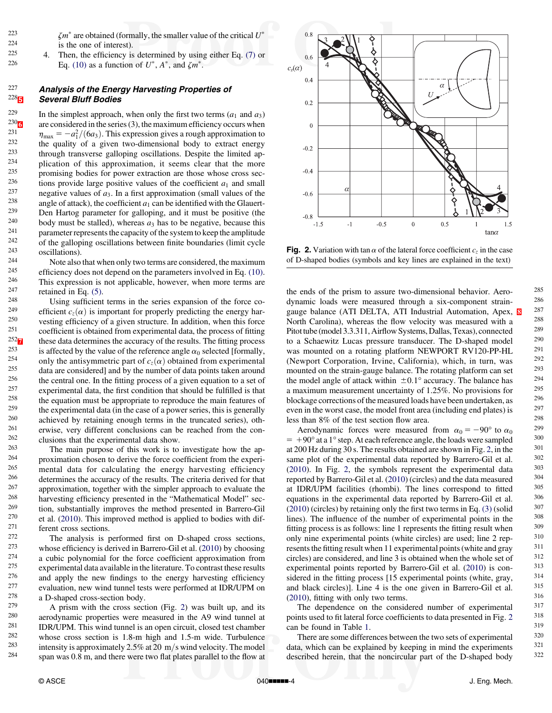<span id="page-3-0"></span><sup>223</sup>  $\zeta m^*$  are obtained (formally, the smaller value of the critical  $U^*$  $^{224}$  is the one of interest).<br> $^{225}$   $^4$  Then the efficiency is

<sup>225</sup> 4. Then, the efficiency is determined by using either Eq. [\(7\)](#page-2-0) or  $\frac{226}{5}$  Eq. (10) as a function of  $U^*$   $4^*$  and  $\zeta m^*$ Eq. [\(10\)](#page-2-0) as a function of  $U^*$ ,  $A^*$ , and  $\zeta m^*$ .

#### <sup>227</sup> Analysis of the Energy Harvesting Properties of **Several Bluff Bodies Several Bluff Bodies**

<sup>229</sup> In the simplest approach, when only the first two terms  $(a_1 \text{ and } a_3)$ <br><sup>230</sup> are considered in the series (3), the maximum efficiency occurs when <sup>230</sup><sub>0</sub> are considered in the series (3), the maximum efficiency occurs when<br><sup>231</sup>  $\sigma = -a^2/(6a)$  $\sigma = -a^2/(6a)$  $\sigma = -a^2/(6a)$ . This expression gives a rough approximation to <sup>231</sup>  $\eta_{\text{max}} = -a_1^2/(6a_3)$ . This expression gives a rough approximation to the quality of a given two-dimensional body to extract energy 232 the quality of a given two-dimensional body to extract energy<br>233 through transverse galloning oscillations. Despite the limited an- $2^{233}$  through transverse galloping oscillations. Despite the limited ap-<br> $2^{234}$  plication of this approximation it seems clear that the more  $^{234}$  plication of this approximation, it seems clear that the more  $^{235}$  $^{235}$  promising bodies for power extraction are those whose cross sec-<br> $^{236}$  tions provide large positive values of the coefficient  $\epsilon$  and small <sup>236</sup> tions provide large positive values of the coefficient  $a_1$  and small<br><sup>237</sup> negative values of  $a_n$ . In a first engravimation (small values of the <sup>237</sup> negative values of  $a_3$ . In a first approximation (small values of the  $a_3$ ?)<sup>238</sup> angle of attack) the coofficient  $a_3$  can be identified with the Glauert <sup>238</sup> angle of attack), the coefficient  $a_1$  can be identified with the Glauert-<br><sup>239</sup> Den Hartog parameter for galloning, and it must be positive (the <sup>239</sup> Den Hartog parameter for galloping, and it must be positive (the  $^{240}$  body must be stalled), whereas a has to be positive because this 240 body must be stalled), whereas  $a_3$  has to be negative, because this 241  $241$  parameter represents the capacity of the system to keep the amplitude<br> $242$  of the callening escallations between finite boundaries (limit avalent  $242$  of the galloping oscillations between finite boundaries (limit cycle  $243$  oscillations)  $\frac{243}{244}$  oscillations).

244 Note also that when only two terms are considered, the maximum<br>245 efficiency does not depend on the parameters involved in Eq. (10) <sup>245</sup> efficiency does not depend on the parameters involved in Eq. [\(10\).](#page-2-0)<br><sup>246</sup> This expression is not applicable, however, when more terms are <sup>246</sup> This expression is not applicable, however, when more terms are  $\frac{247}{\pi}$  rational in Eq. (5)  $247$  retained in Eq. [\(5\)](#page-2-0).<br>248 Using sufficient

<sup>248</sup> Using sufficient terms in the series expansion of the force co-<br><sup>249</sup> efficient  $c(\alpha)$  is important for properly predicting the energy bar 249 efficient  $c_z(\alpha)$  is important for properly predicting the energy har-<br>250 vesting efficiency of a given structure. In addition, when this force <sup>250</sup> vesting efficiency of a given structure. In addition, when this force<br><sup>251</sup> coofficient is obtained from experimental data, the process of fitting <sup>251</sup> coefficient is obtained from experimental data, the process of fitting these data determines the accuracy of the results. The fitting process <sup>252</sup> $\overline{Z}$  these data determines the accuracy of the results. The fitting process<br><sup>253</sup> is affected by the value of the reference angle  $\alpha_s$  selected [formally <sup>253</sup> is affected by the value of the reference angle  $\alpha_0$  selected [formally, 254 only the antisymmetric part of  $c(\alpha)$  obtained from experimental <sup>254</sup> only the antisymmetric part of  $c_z(\alpha)$  obtained from experimental<br><sup>255</sup> data are considered and by the number of data points taken around  $^{255}$  data are considered] and by the number of data points taken around<br> $^{256}$  the control one. In the fitting process of a given equation to a set of <sup>256</sup> the central one. In the fitting process of a given equation to a set of  $257$  experimental data the first condition that should be fulfilled is that  $257$  experimental data, the first condition that should be fulfilled is that<br> $258$  the equation must be engravited to reproduce the main features of <sup>258</sup> the equation must be appropriate to reproduce the main features of  $\frac{259}{100}$  the experimental data (in the case of a power series, this is generally <sup>259</sup> the experimental data (in the case of a power series, this is generally  $\frac{259}{260}$  or achieved by rataining enough terms in the truncated series) oth  $^{260}$  achieved by retaining enough terms in the truncated series), oth-<br> $^{261}$  eriting your different conclusions can be reached from the con-<sup>261</sup> erwise, very different conclusions can be reached from the con-<br> $\frac{262}{\text{cylucions}}$  that the experimental data show  $\frac{262}{263}$  clusions that the experimental data show.

 $263$  The main purpose of this work is to investigate how the ap-<br> $264$  represents do do the force coefficient from the experiproximation chosen to derive the force coefficient from the experi- $\frac{265}{266}$  mental data for calculating the energy harvesting efficiency<br> $\frac{266}{266}$  determines the accuracy of the results. The criteria derived for that <sup>266</sup> determines the accuracy of the results. The criteria derived for that  $\frac{267}{\text{approximation}}$  constant the simpler approach to evolugie the <sup>267</sup> approximation, together with the simpler approach to evaluate the  $^{268}$  harvesting efficiency presented in the "Mathematical Model" sec-<sup>268</sup> harvesting efficiency presented in the "Mathematical Model" sec-<br><sup>269</sup> tion, substantially improves the mathed presented in Perrac Gil <sup>269</sup> tion, substantially improves the method presented in Barrero-Gil<sup>270</sup> et al. (2010). This improved method is applied to bodies with dif  $270$  et al. ([2010](#page-6-0)). This improved method is applied to bodies with dif-<br> $271$  ferent cross sections  $271$  ferent cross sections.<br> $272$  The analysis is r

 $^{272}$  The analysis is performed first on D-shaped cross sections,<br> $^{273}$  whose efficiency is derived in Barrero Gil et al. (2010) by choosing <sup>273</sup> whose efficiency is derived in Barrero-Gil et al. ([2010\)](#page-6-0) by choosing  $\frac{274}{100}$  as whis polynomial for the force coefficient enproximation from 274 a cubic polynomial for the force coefficient approximation from<br>275 experimental data available in the literature. To contrast these results  $275$  experimental data available in the literature. To contrast these results  $276$  and apply the new findings to the energy hervesting officiency  $^{276}$  and apply the new findings to the energy harvesting efficiency<br> $^{277}$  evolution new wind tunnel tests were performed at IDP/UPM on 277 evaluation, new wind tunnel tests were performed at IDR/UPM on  $^{278}$  a D-shaped cross-section body  $278$  a D-shaped cross-section body.<br>279 A prism with the cross sect

 $2^{279}$  A prism with the cross section (Fig. 2) was built up, and its  $2^{80}$ 280 aerodynamic properties were measured in the A9 wind tunnel at  $^{281}$  IDR/UPM. This wind tunnel is an onen circuit closed test chamber. <sup>281</sup> IDR/UPM. This wind tunnel is an open circuit, closed test chamber  $^{282}$  whose cross section is 1.8-m high and 1.5-m wide. Turbulance <sup>282</sup> whose cross section is 1.8-m high and 1.5-m wide. Turbulence<br><sup>283</sup> intensity is approximately 2.5% at 20 m/s wind velocity. The model <sup>283</sup> intensity is approximately 2.5% at 20 m/s wind velocity. The model<br><sup>284</sup> span wes 0.8 m, and there were two flat plates parallel to the flow at span was 0.8 m, and there were two flat plates parallel to the flow at



**Fig. 2.** Variation with tan  $\alpha$  of the lateral force coefficient  $c<sub>z</sub>$  in the case of D-shaped bodies (symbols and key lines are explained in the text)

the ends of the prism to assure two-dimensional behavior. Aero-<br>dynamic loads were measured through a six component strain dynamic loads were measured through a six-component strain-<br>  $286$ <br>  $287$ <br>  $287$ <br>  $\overline{C}$ <br>  $287$ <br>  $\overline{C}$ <br>  $287$ gauge balance (ATI DELTA, ATI Industrial Automation, Apex,  $\frac{8}{12}$  $\frac{8}{12}$  $\frac{8}{12}$   $^{287}$  North Carolina), whereas the flow velocity was measured with a  $^{288}$ North Carolina), whereas the flow velocity was measured with a  $\frac{288}{\text{Bitthale (model 3.3.311 \text{ A}irflow Systeme}$  Delles Toxes) connected  $\frac{289}{\text{B}}$ Pitot tube (model 3.3.311, Airflow Systems, Dallas, Texas), connected  $^{289}$ <br>to a Schaewitz Lucas pressure transducer. The D-shaped model  $^{290}$ to a Schaewitz Lucas pressure transducer. The D-shaped model  $^{290}$ <br>was mounted on a rotating platform NEWPORT RV120 PP-HI was mounted on a rotating platform NEWPORT RV120-PP-HL <sup>291</sup><br>(Newport Corporation Irvine Colifornia) which in turn was <sup>292</sup> (Newport Corporation, Irvine, California), which, in turn, was  $^{292}$ <br>mounted on the strain-gauge balance. The rotating platform can set  $^{293}$ mounted on the strain-gauge balance. The rotating platform can set  $\frac{293}{294}$ the model angle of attack within  $\pm 0.1^\circ$  accuracy. The balance has a maximum measurement uncertainty of 1.25%. No provisions for  $^{295}$ <br>blockage corrections of the measured loads have been undertaken as  $^{296}$ blockage corrections of the measured loads have been undertaken, as  $^{296}$ <br>even in the worst case, the model front area (including end plates) is  $^{297}$ even in the worst case, the model front area (including end plates) is  $\frac{297}{298}$ less than 8% of the test section flow area.  $298$ <br>Aerodynamic forces were measured from  $\alpha = -00^{\circ}$  to  $\alpha = 299$ 

Aerodynamic forces were measured from  $\alpha_0 = -90^\circ$  to  $\alpha_0 = 299$ <br>+00° at a 1° step. At each reference angle the loads were sampled 300  $= +90^{\circ}$  at a 1° step. At each reference angle, the loads were sampled  $=$   $\frac{300}{200}$  Hz during 30 s. The results obtained are shown in Fig. 2, in the  $=$   $\frac{301}{200}$ at 200 Hz during 30 s. The results obtained are shown in Fig. 2, in the  $^{301}$ <br>same plot of the experimental data reported by Berrero Gil et al.  $^{302}$ same plot of the experimental data reported by Barrero-Gil et al.  $302$ <br>(2010) In Fig. 2, the symbols represent the experimental data  $303$ ([2010\)](#page-6-0). In Fig. 2, the symbols represent the experimental data  $^{303}$ <br>reported by Barrero-Gil et al. (2010) (circles) and the data measured  $^{304}$ reported by Barrero-Gil et al. ([2010](#page-6-0)) (circles) and the data measured  $^{304}$ <br>at JDP/LIPM focilities (rbombi). The lines correspond to fitted  $^{305}$ at IDR/UPM facilities (rhombi). The lines correspond to fitted equations in the experimental data reported by Barrero-Gil et al.  $^{306}$ <br>(2010) (circles) by rateining only the first two terms in Eq. (3) (colid  $^{307}$  $(2010)$  $(2010)$  (circles) by retaining only the first two terms in Eq.  $(3)$  (solid lines). The influence of the number of experimental points in the  $308$ <br>fitting process is as follows: line 1 represents the fitting result when  $309$ fitting process is as follows: line 1 represents the fitting result when  $\frac{309}{209}$  and  $\frac{309}{209}$  represents the  $\frac{309}{209}$ only nine experimental points (white circles) are used; line 2 rep-<br>recents the fitting result when 11 experimental points (white and gray  $311$ resents the fitting result when 11 experimental points (white and gray  $\frac{311}{2}$  circles) are considered, and line 3 is obtained when the whole set of  $\frac{312}{2}$ circles) are considered, and line 3 is obtained when the whole set of  $312$ <br>experimental points reported by Barrero Gil et al. (2010) is con  $313$ experimental points reported by Barrero-Gil et al.  $(2010)$  $(2010)$  is con-<br>sidered in the fitting process [15] experimental points (white grove  $314$ sidered in the fitting process  $[15$  experimental points (white, gray,  $314$ <br>and black circles). Line A is the one given in Barraro Gil et al.  $315$ and black circles)]. Line 4 is the one given in Barrero-Gil et al.  $315$ <br>(2010) fitting with only two terms  $316$  $(2010)$  $(2010)$ , fitting with only two terms.  $316$ <br>The dependence on the considered number of experimental  $317$ 

The dependence on the considered number of experimental  $317$ <br>ints used to fit lateral force coefficients to data presented in Fig. 2  $318$ points used to fit lateral force coefficients to data presented in Fig.  $2^{318}$ <br>can be found in Table 1 can be found in Table [1](#page-4-0). 319<br>There are some differences between the two sets of experimental  $^{319}$ 

There are some differences between the two sets of experimental  $320$ <br>3. which can be explained by keeping in mind the experiments  $321$ data, which can be explained by keeping in mind the experiments  $321$ <br>described barain, that the pensimular part of the D shaped bady  $322$ described herein, that the noncircular part of the D-shaped body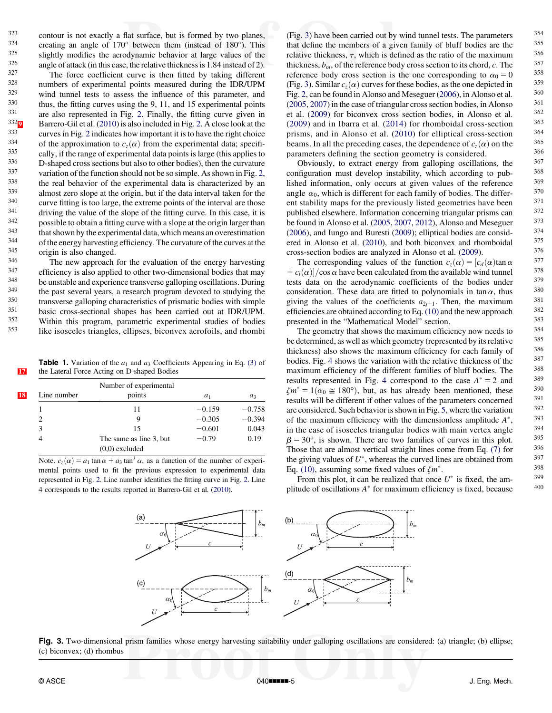<span id="page-4-0"></span>323 contour is not exactly a flat surface, but is formed by two planes,<br> $324$  creating an angle of  $170^\circ$  between them (instead of  $180^\circ$ ). This  $324$  creating an angle of  $170^\circ$  between them (instead of  $180^\circ$ ). This cliently modifies the corolynomic behavior of large values of the  $\frac{325}{326}$  slightly modifies the aerodynamic behavior at large values of the angle of attack (in this case, the relative thickness is 1.84 instead of 2)  $326$  angle of attack (in this case, the relative thickness is 1.84 instead of 2).<br> $327$  The force coefficient curve is then fitted by teking different

 $327$  The force coefficient curve is then fitted by taking different<br> $328$  numbers of experimental points measured during the IDP/UDM  $\frac{328}{329}$  numbers of experimental points measured during the IDR/UPM  $\frac{329}{330}$  wind tunnel tests to assess the influence of this parameter, and  $\frac{330}{330}$  thus the fitting curves using the 9–11 and 15 experimental points  $330$  thus, the fitting curves using the 9, 11, and 15 experimental points  $331$ 331 are also represented in Fig. [2](#page-3-0). Finally, the fitting curve given in  $332\pi$ <br>332 $\pi$  Rarrero-Gil et al. (2010) is also included in Fig. 2. A close look at the  $\frac{332\text{g}}{233}$  Barrero-Gil et al. [\(2010](#page-6-0)) is also included in Fig. [2.](#page-3-0) A close look at the curves in Fig. 2 indicates how important it is to have the right choice <sup>333</sup> curves in Fig. [2](#page-3-0) indicates how important it is to have the right choice<br><sup>334</sup> of the approximation to  $g(x)$  from the axparimental data; specify 334 of the approximation to  $c_z(\alpha)$  from the experimental data; specifically, if the range of experimental data points is large (this applies to  $\alpha$  D-shaned cross sections but also to other bodies), then the curvature  $336$  D-shaped cross sections but also to other bodies), then the curvature<br> $337$  variation of the function should not be so simple. As shown in Fig. 2.  $337$  variation of the function should not be so simple. As shown in Fig. [2,](#page-3-0)  $338$  the real behavior of the amerimental data is observatived by an  $\frac{338}{239}$  the real behavior of the experimental data is characterized by an almost zero alone at the origin but if the data interval taken for the  $\frac{339}{40}$  almost zero slope at the origin, but if the data interval taken for the  $\frac{340}{40}$  $340$  curve fitting is too large, the extreme points of the interval are those  $341$  driving the value of the slope of the fitting curve. In this case, it is  $341$  driving the value of the slope of the fitting curve. In this case, it is  $\frac{342}{143}$  possible to obtain a fitting curve with a slope at the origin larger than  $343$  that shown by the experimental data, which means an overestimation  $344$ <sup>344</sup> of the energy harvesting efficiency. The curvature of the curves at the origin is also changed  $345$  origin is also changed.<br> $346$  The new energoes is

 $^{346}$  The new approach for the evaluation of the energy harvesting<br> $^{347}$  efficiency is also enabled to other two dimensional bodies that may  $347$  efficiency is also applied to other two-dimensional bodies that may  $348$  he unstable and experience transverse calloning oscillations. During  $\frac{348}{149}$  be unstable and experience transverse galloping oscillations. During the study of the next experience a receptible process during the study in the next experience of receptible process.  $\frac{349}{250}$  the past several years, a research program devoted to studying the transverse colloning characteristics of prigmatic hodies with simple <sup>350</sup> transverse galloping characteristics of prismatic bodies with simple<br><sup>351</sup> basic cross sectional shapes has been carried out at IDP/UDM  $\frac{351}{352}$  basic cross-sectional shapes has been carried out at IDR/UPM. <sup>352</sup> Within this program, parametric experimental studies of bodies like isosceles triangles, ellipses, biconvex aerofoils, and rhombi

**Table 1.** Variation of the  $a_1$  and  $a_3$  Coefficients Appearing in Eq. [\(3\)](#page-1-0) of [17](#page-8-0) the Lateral Force Acting on D-shaped Bodies

|    |             | Number of experimental  |                |          |
|----|-------------|-------------------------|----------------|----------|
| 18 | Line number | points                  | a <sub>1</sub> | $a_3$    |
|    |             | 11                      | $-0.159$       | $-0.758$ |
|    | 2           | 9                       | $-0.305$       | $-0.394$ |
|    | 3           | 15                      | $-0.601$       | 0.043    |
|    | 4           | The same as line 3, but | $-0.79$        | 0.19     |
|    |             | $(0,0)$ excluded        |                |          |

Note.  $c_z(\alpha) = a_1 \tan \alpha + a_3 \tan^3 \alpha$ , as a function of the number of experimental points used to fit the previous expression to experimental data represented in Fig. [2.](#page-3-0) Line number identifies the fitting curve in Fig. [2.](#page-3-0) Line 4 corresponds to the results reported in Barrero-Gil et al. ([2010](#page-6-0)).

(Fig. 3) have been carried out by wind tunnel tests. The parameters  $354$ <br>that define the members of a given family of bluff bodies are the  $355$ that define the members of a given family of bluff bodies are the  $\frac{355}{256}$ relative thickness,  $\tau$ , which is defined as the ratio of the maximum  $356$ <br>thickness heat for the reference body cross section to its chord c. The  $357$ thickness,  $b_m$ , of the reference body cross section to its chord, c. The  $\frac{357}{258}$ reference body cross section is the one corresponding to  $\alpha_0 = 0$  <sup>358</sup><br>(Fig. 3) Similar c ( $\alpha$ ) curves for these bodies, as the one depicted in <sup>359</sup> (Fig. 3). Similar  $c_z(\alpha)$  curves for these bodies, as the one depicted in  $359$ <br>Fig. 2, can be found in Alonso and Massauge (2006), in Alonso at al.  $360$ Fig. [2](#page-3-0), can be found in Alonso and Meseguer ([2006](#page-6-0)), in Alonso et al.  $\frac{360}{(2005, 2007)}$  in the case of triangular cross section bodies, in Alonso  $\frac{361}{(2005, 2007)}$  $(2005, 2007)$  $(2005, 2007)$  $(2005, 2007)$  $(2005, 2007)$  in the case of triangular cross section bodies, in Alonso  $^{361}$ <br>et al.  $(2009)$  for biconvex cross section bodies, in Alonso et al.  $^{362}$ et al. [\(2009](#page-6-0)) for biconvex cross section bodies, in Alonso et al.  $362$ <br>(2000) and in Iberra at al. (2014) for rhamboidal gross section  $(2009)$  $(2009)$  $(2009)$  and in Ibarra et al.  $(2014)$  $(2014)$  $(2014)$  for rhomboidal cross-section  $363$ <br>priems and in Alonso et al.  $(2010)$  for allintical cross section  $364$ prisms, and in Alonso et al. ([2010\)](#page-6-0) for elliptical cross-section  $364$ <br>begans In all the preceding eases the dependence of  $a(x)$  on the  $365$ beams. In all the preceding cases, the dependence of  $c_z(\alpha)$  on the <sup>365</sup><br>parameters defining the section geometry is considered parameters defining the section geometry is considered.  $366$ <br>Obviously, to extract energy from galloning oscillations, the  $367$ 

Obviously, to extract energy from galloping oscillations, the  $367$ <br>of exercise gravitations, installity, which associates to with  $368$ configuration must develop instability, which according to pub-<br> $\frac{368}{100}$ lished information, only occurs at given values of the reference  $369$ <br>angle  $\alpha$ , which is different for each family of hodies. The differ  $370$ angle  $\alpha_0$ , which is different for each family of bodies. The differ-<br>ont stebility mans for the proviously listed geometries have been  $371$ ent stability maps for the previously listed geometries have been  $^{371}$ <br>muhlished elsewhere Information concerning triangular prisms can published elsewhere. Information concerning triangular prisms can<br>be found in Alonso at al. (2005–2007–2012). Alonso and Massauer. be found in Alonso et al. [\(2005](#page-6-0), [2007](#page-6-0), [2012\)](#page-6-0), Alonso and Meseguer  $\frac{373}{(2006)}$  and Junge and Burgeti (2000), allintical hodies are considered ([2006\)](#page-6-0), and Iungo and Buresti ([2009\)](#page-6-0); elliptical bodies are consid-<br>and in Alance at al. (2010), and both biograms and rhamboidal  $375$ ered in Alonso et al. [\(2010](#page-6-0)), and both biconvex and rhomboidal  $375$ <br>erece section bodies are analyzed in Alonso et al. (2000) cross-section bodies are analyzed in Alonso et al. ([2009\)](#page-6-0). <sup>376</sup><br>The corresponding values of the function  $c_n(x) = [c_n(x)] \tan \alpha$  <sup>377</sup>

The corresponding values of the function  $c_z(\alpha) = [c_d(\alpha)\tan \alpha$  377<br>2.  $(c_2)$  /  $(205 \text{ s})$  bay a been algorithm and available wind tunnal 378  $+ c_l(\alpha)$ / $\cos \alpha$  have been calculated from the available wind tunnel <sup>378</sup> tests data on the aerodynamic coefficients of the bodies under  $379$ <br>consideration. These date are fitted to not requirements in tense that  $380$ consideration. These data are fitted to polynomials in tan $\alpha$ , thus  $^{380}$ <br>giving the values of the coefficients  $q_{21}$ . Then the maximum  $^{381}$ giving the values of the coefficients  $a_{2j-1}$ . Then, the maximum  $381$ <br>officiencies are obtained according to Eq. (10) and the new approach  $382$ efficiencies are obtained according to Eq.  $(10)$  and the new approach  $382$ <br>presented in the "Mathematical Model" section presented in the "Mathematical Model" section. 383<br>The geometry that shows the maximum efficiency now needs to 384

The geometry that shows the maximum efficiency now needs to  $384$ <br>determined as well as which geometry (represented by its relative  $385$ be determined, as well as which geometry (represented by its relative  $\frac{385}{120}$ thickness) also shows the maximum efficiency for each family of  $386$ <br>hodies. Fig. 4 shows the variation with the relative thickness of the  $387$ bodies. Fig. [4](#page-5-0) shows the variation with the relative thickness of the  $\frac{387}{288}$ maximum efficiency of the different families of bluff bodies. The  $\frac{388}{289}$ results represented in Fig. [4](#page-5-0) correspond to the case  $A^* = 2$  and  $\zeta m^* = 1(\alpha_0 \approx 180^\circ)$ , but, as has already been mentioned, these <sup>390</sup><br>results will be different if other values of the parameters concerned <sup>391</sup> results will be different if other values of the parameters concerned  $391$ <br>are considered. Such behavior is shown in Fig. 5, where the variation  $392$ are considered. Such behavior is shown in Fig. [5](#page-5-0), where the variation  $^{392}$ <br>of the maximum efficiency with the dimensionless amplitude  $\Lambda^*$  393 of the maximum efficiency with the dimensionless amplitude  $A^*$ ,  $393$ <br>in the case of isoscales triangular hodies with main vertex angle in the case of isosceles triangular bodies with main vertex angle  $\frac{394}{6}$ <br> $\frac{9}{100}$  is shown. There are two families of curves in this plot  $\beta = 30^{\circ}$ , is shown. There are two families of curves in this plot. <sup>395</sup><br>These that are elmost vertical straight lines come from Eq. (7) for <sup>396</sup> Those that are almost vertical straight lines come from Eq. [\(7\)](#page-2-0) for  $\frac{396}{2}$ <br>the giving values of  $U^*$  whereas the curved lines are obtained from  $\frac{397}{2}$ the giving values of  $U^*$ , whereas the curved lines are obtained from  $\frac{397}{56}$ <br>Eq. (10) assuming some fixed values of  $\zeta m^*$ Eq. [\(10\)](#page-2-0), assuming some fixed values of  $\zeta m^*$ . <sup>398</sup><br>From this plot, it can be realized that once  $U^*$  is fixed, the am. <sup>399</sup>

From this plot, it can be realized that once  $U^*$  is fixed, the am-<br>grade of oscillations  $A^*$  for maximum efficiency is fixed, because 400 plitude of oscillations  $A^*$  for maximum efficiency is fixed, because



Fig. 3. Two-dimensional prism families whose energy harvesting suitability under galloping oscillations are considered: (a) triangle; (b) ellipse; (c) biconvex; (d) rhombus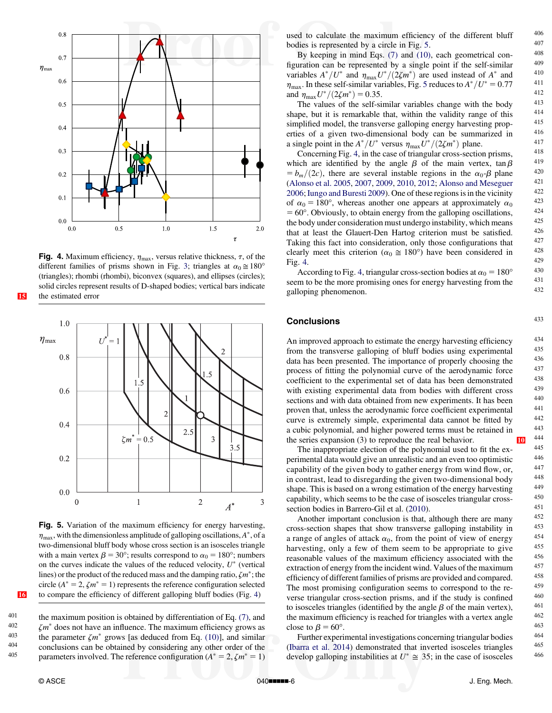<span id="page-5-0"></span>

Fig. 4. Maximum efficiency,  $\eta_{\text{max}}$ , versus relative thickness,  $\tau$ , of the different families of prisms shown in Fig. [3](#page-4-0); triangles at  $\alpha_0 \approx 180^\circ$ (triangles); rhombi (rhombi), biconvex (squares), and ellipses (circles); solid circles represent results of D-shaped bodies; vertical bars indicate [15](#page-8-0) the estimated error



Fig. 5. Variation of the maximum efficiency for energy harvesting,  $\eta_{\text{max}}$ , with the dimensionless amplitude of galloping oscillations,  $A^*$ , of a two-dimensional bluff body whose cross section is an isosceles triangle with a main vertex  $\beta = 30^{\circ}$ ; results correspond to  $\alpha_0 = 180^{\circ}$ ; numbers on the curves indicate the values of the reduced velocity,  $U^*$  (vertical lines) or the product of the reduced mass and the damping ratio,  $\zeta m^*$ ; the circle ( $A^* = 2$ ,  $\zeta m^* = 1$ ) represents the reference configuration selected [16](#page-8-0) to compare the efficiency of different galloping bluff bodies (Fig. 4)

401 the maximum position is obtained by differentiation of Eq. [\(7\),](#page-2-0) and  $\gamma m^*$  does not have an influence. The maximum efficiency grows as  $\zeta m^*$  does not have an influence. The maximum efficiency grows as<br>403 the parameter  $\zeta m^*$  grows [as deduced from Eq. (10)] and similar <sup>403</sup> the parameter  $\zeta m^*$  grows [as deduced from Eq. [\(10\)](#page-2-0)], and similar  $\frac{404}{\zeta}$  conclusions can be obtained by considering ony other order of the 404 conclusions can be obtained by considering any other order of the<br>405 concentration ( $A^* = 2$ ,  $\zeta m^* = 1$ ) parameters involved. The reference configuration ( $A^* = 2$ ,  $\zeta m^* = 1$ ) used to calculate the maximum efficiency of the different bluff  $406$ <br>hoding is proposed by a simple in Fig. 5. bodies is represented by a circle in Fig. 5.  $\frac{407}{20}$ <br>By keeping in mind Eqs. (7) and (10) ascharant result and  $\frac{408}{20}$ 

By keeping in mind Eqs.  $(7)$  and  $(10)$ , each geometrical con-<br>uration can be represented by a single point if the self-similar  $409$ figuration can be represented by a single point if the self-similar  $409$ <br>veribles  $A^*/U^*$  and  $T^*/(25m^*)$  are used instead of  $A^*$  and  $410$ variables  $A^*/U^*$  and  $\eta_{\text{max}}U^*/(2\zeta m^*)$  are used instead of  $A^*$  and  $\eta_{\text{max}}$ <br>n In these self-similar variables Fig. 5 reduces to  $A^*/U^* = 0.77$  411  $\eta_{\text{max}}$ . In these self-similar variables, Fig. 5 reduces to  $A^*/U^* = 0.77$  and  $\eta_{\text{max}}U^*/(2\zeta m^*) = 0.35$ . and  $\eta_{\text{max}}U^*/(2\zeta m^*) = 0.35$ .<br>The values of the self-similar variables change with the body <sup>413</sup>

shape, but it is remarkable that, within the validity range of this  $414$ <br>simplified model the transverse galloning energy harvesting properties simplified model, the transverse galloping energy harvesting prop-<br>erties of a given two-dimensional body can be summarized in erties of a given two-dimensional body can be summarized in  $^{416}$ <br>example point in the  $4*(H^*$  versus  $n = H^*/(27m^*)$  plane. a single point in the  $A^*/U^*$  versus  $\eta_{\text{max}}U^*/(2\zeta m^*)$  plane. 417<br>Concerning Fig. 4 in the case of triangular cross-section prisms 418

Concerning Fig. 4, in the case of triangular cross-section prisms,  $^{418}$ <br>ich are identified by the angle B of the main vertex tan B which are identi <sup>419</sup> fied by the angle b of the main vertex, tan b  $= b_m/(2c)$ , there are several instable regions in the  $\alpha_0$ - $\beta$  plane  $= 420$ <br>(Alongo at al. 2005, 2007, 2000, 2010, 2012), Alongo and Magazuar ([Alonso et al. 2005](#page-6-0), [2007](#page-6-0), [2009,](#page-6-0) [2010](#page-6-0), [2012;](#page-6-0) [Alonso and Meseguer](#page-6-0)  $\frac{421}{2006}$ ; lungo and Buresti 2009). One of these regions is in the vicinity  $\frac{422}{200}$ [2006;](#page-6-0) [Iungo and Buresti 2009](#page-6-0)). One of these regions is in the vicinity  $422$ <br>of  $g_2 = 180^\circ$ , whereas another one appears at approximately  $g_2 = 423$ of  $\alpha_0 = 180^\circ$ , whereas another one appears at approximately  $\alpha_0 = 60^\circ$  Obviously to obtain energy from the galloning oscillations  $424$  $= 60^\circ$ . Obviously, to obtain energy from the galloping oscillations,  $= 424$ <br>the body under consideration must undergo instability, which means the body under consideration must undergo instability, which means  $425$ <br>that at least the Glauert-Den Hartog criterion must be satisfied  $426$ that at least the Glauert-Den Hartog criterion must be satisfied.  $426$ <br>Teking this feet into consideration, only those configurations that  $427$ Taking this fact into consideration, only those configurations that  $\frac{427}{428}$  glority meet this exiterion  $\left(\alpha_{\alpha} \approx 180\right)$  have been considered in clearly meet this criterion ( $\alpha_0 \approx 180^\circ$ ) have been considered in  $\frac{428}{429}$ Fig. 4. 429

According to Fig. 4, triangular cross-section bodies at  $\alpha_0 = 180^\circ$  430 seem to be the more promising ones for energy harvesting from the 431 selloning pharamanan galloping phenomenon.

#### **Conclusions** 433

An improved approach to estimate the energy harvesting efficiency  $434$ <br>from the transverse galloning of bluff bodies using experimental  $435$ from the transverse galloping of bluff bodies using experimental  $435$ <br>data has been presented. The importance of properly choosing the  $436$ data has been presented. The importance of properly choosing the  $436$ <br>process of fitting the polynomial curve of the aerodynamic force  $437$ process of fitting the polynomial curve of the aerodynamic force<br>coefficient to the averaging that of data has been demonstrated coefficient to the experimental set of data has been demonstrated with existing experimental data from bodies with different cross  $439$ <br>sections and with data obtained from new experiments. It has been  $440$ sections and with data obtained from new experiments. It has been  $\frac{440}{120}$ proven that, unless the aerodynamic force coefficient experimental  $^{441}$ <br>curve is extremely simple experimental data cannot be fitted by  $^{442}$ curve is extremely simple, experimental data cannot be fitted by  $442$ <br>a cubic polynomial and bigher powered terms must be retained in  $443$ a cubic polynomial, and higher powered terms must be retained in the series expansion (3) to reproduce the real behavior.

The inappropriate election of the polynomial used to fit the ex-<br>imental data would give an unrealistic and an even too optimistic  $446$ perimental data would give an unrealistic and an even too optimistic  $446$ <br>canability of the given body to gather energy from wind flow or  $447$ capability of the given body to gather energy from wind flow, or,<br>in contrast, lead to discrear ding the given two-dimensional body in contrast, lead to disregarding the given two-dimensional body<br>shape. This is based on a wrong estimation of the energy harvesting  $\frac{448}{49}$ shape. This is based on a wrong estimation of the energy harvesting  $449$ <br>canability, which seems to be the case of isosceles triangular cross.  $450$ capability, which seems to be the case of isosceles triangular cross-<br>section hodies in Perryre Gil et al.  $(2010)$ section bodies in Barrero-Gil et al. [\(2010](#page-6-0)). <sup>451</sup><br>Another important conclusion is that although there are many <sup>452</sup>

Another important conclusion is that, although there are many  $452$ <br>ss-section shapes that show transverse galloning instability in  $453$ cross-section shapes that show transverse galloping instability in  $453$ <br>a range of angles of attack  $\alpha_0$ , from the point of view of energy  $454$ a range of angles of attack  $\alpha_0$ , from the point of view of energy  $454$ <br>harvesting only a few of them seem to be appropriate to give harvesting, only a few of them seem to be appropriate to give  $455$ <br>researchly velves of the maximum efficiency essecuted with the  $456$ reasonable values of the maximum efficiency associated with the  $456$ <br>extraction of energy from the incident wind. Values of the maximum  $457$ extraction of energy from the incident wind. Values of the maximum  $457$ <br>officiency of different families of prisms are provided and compared  $458$ efficiency of different families of prisms are provided and compared. 458<br>The most promising configuration seems to correspond to the re The most promising configuration seems to correspond to the re-<br>verse triangular cross-section prisms and if the study is confined  $460$ verse triangular cross-section prisms, and if the study is confined  $460$ <br>to isosceles triangles (identified by the angle  $\beta$  of the main vertex)  $461$ to isosceles triangles (identified by the angle  $\beta$  of the main vertex),  $\frac{461}{100}$  the maximum efficiency is reached for triangles with a vertex angle the maximum efficiency is reached for triangles with a vertex angle  $462$ <br>close to  $B = 60^{\circ}$ close to  $\beta = 60^\circ$ . 463<br>Eurthor experimental investigations concerning triangular bodies 464

Further experimental investigations concerning triangular bodies  $464$ <br>experience at al. 2014) demonstrated that inverted isosceles triangles  $465$ ([Ibarra et al. 2014](#page-6-0)) demonstrated that inverted isosceles triangles  $465$ <br>develop galloning instabilities at  $U^* \approx 25$ ; in the case of isosceles  $466$ develop galloping instabilities at  $U^* \cong 35$ ; in the case of isosceles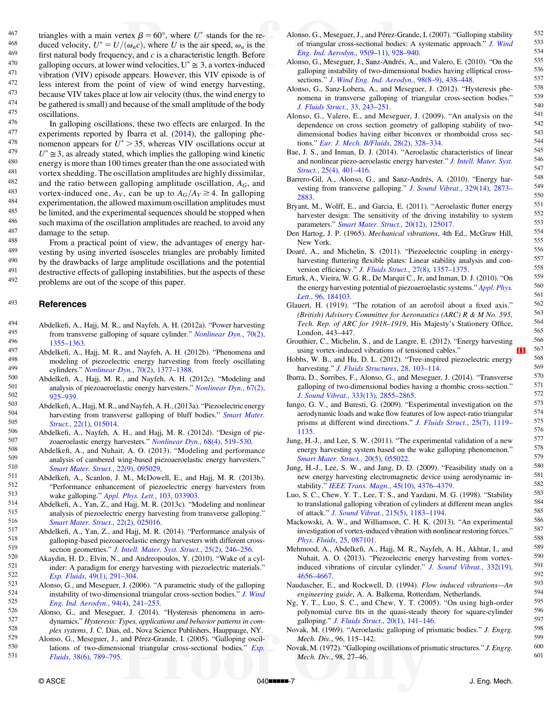<span id="page-6-0"></span>467 triangles with a main vertex  $\beta = 60^{\circ}$ , where U<sup>\*</sup> stands for the re-<br>468 directed vertex  $U^* = U/(\alpha \alpha)$ , where U is the six graced vertex the 468 duced velocity,  $U^* = U/(\omega_n c)$ , where U is the air speed,  $\omega_n$  is the 469 first natural hody frequency, and a is a characteristic langth. Before <sup>469</sup> first natural body frequency, and c is a characteristic length. Before<br><sup>470</sup> galloning occurs at lower wind velocities  $\mathbf{I}^* \approx 3$ , a vortex-induced 470 galloping occurs, at lower wind velocities,  $U^* \cong 3$ , a vortex-induced 471 vibration (VIV) opisode appears. However, this VIV opisode is of <sup>471</sup> vibration (VIV) episode appears. However, this VIV episode is of  $\frac{472}{100}$  less interest from the point of view of wind energy harvesting  $^{472}$  less interest from the point of view of wind energy harvesting,<br> $^{473}$  hogouse VIV takes place at low air velocity (thus the wind energy to  $^{473}$  because VIV takes place at low air velocity (thus, the wind energy to  $^{474}$  be gathered is small) and because of the small amplitude of the body  $^{474}$  be gathered is small) and because of the small amplitude of the body<br> $^{475}$  exaillations  $^{475}_{476}$  oscillations.

 $^{476}$  In galloping oscillations, these two effects are enlarged. In the approximants reported by Iberra et al. (2014), the galloping phe 477 experiments reported by Ibarra et al. (2014), the galloping phe-<br>478 momenon appears for  $U^* > 35$  whereas VIV oscillations occur at <sup>478</sup> nomenon appears for  $U^* > 35$ , whereas VIV oscillations occur at <br><sup>479</sup>  $U^* \approx 3$  as already stated, which implies the galloning wind kinetic  $U^* \cong 3$ , as already stated, which implies the galloping wind kinetic<br>480 energy is more than 100 times greater than the one associated with  $^{480}$  energy is more than 100 times greater than the one associated with  $^{481}$ <sup>481</sup> vortex shedding. The oscillation amplitudes are highly dissimilar,  $\frac{482}{2}$  and the ratio between calloring emplitude equilibrium  $\frac{4}{3}$  and <sup>482</sup> and the ratio between galloping amplitude oscillation,  $A_G$ , and  $A_{83}$  vortex-induced one  $A_{12}$  can be up to  $A_G/A_{12} > 4$ . In galloping 483 vortex-induced one,  $A_V$ , can be up to  $A_G/A_V \ge 4$ . In galloping<br>484 verocimentation the allowed maximum oscillation applitudes must  $^{484}$  experimentation, the allowed maximum oscillation amplitudes must<br> $^{485}$  he limited, and the experimental sequences should be stopped when  $^{485}$  be limited, and the experimental sequences should be stopped when<br> $^{486}$  experimental sequences should be stopped when  $^{486}$  such maxima of the oscillation amplitudes are reached, to avoid any  $^{487}$  $\frac{487}{188}$  damage to the setup.

488 From a practical point of view, the advantages of energy har-<br>489 vectors by using inverted isoscoles triangles are probably limited <sup>489</sup> vesting by using inverted isosceles triangles are probably limited  $\frac{490}{490}$  by the drawbacks of large amplitude oscillations and the potential  $^{490}$  by the drawbacks of large amplitude oscillations and the potential  $^{491}$  destructive of colloning instabilities but the expects of these  $^{491}$  destructive effects of galloping instabilities, but the aspects of these<br> $^{492}$  roblems are out of the scope of this paper. problems are out of the scope of this paper.

#### <sup>493</sup> References

- 494 Abdelkefi, A., Hajj, M. R., and Nayfeh, A. H. (2012a). "Power harvesting<br>495 from transverse callening of square ovlinder." Monlinger Dyn.  $70(2)$ 495 from transverse galloping of square cylinder." *[Nonlinear Dyn.](http://dx.doi.org/10.1007/s11071-012-0538-4)*, 70(2),  $\frac{496}{1355-1363}$
- 496 1355–[1363.](http://dx.doi.org/10.1007/s11071-012-0538-4)<br>
497 Abdelkefi, A., Hajj, M. R., and Nayfeh, A. H. (2012b). "Phenomena and<br>
498 modeling of piezoelectric energy harvesting from freely oscillating <sup>498</sup> modeling of piezoelectric energy harvesting from freely oscillating  $\frac{499}{2000}$  cylinders  $\frac{m}{2000}$   $\frac{70(2)}{1377}$   $\frac{1388}{1388}$
- 499 cylinders." *[Nonlinear Dyn.](http://dx.doi.org/10.1007/s11071-012-0540-x)*, 70(2), 1377–1388.<br>500 Abdelkefi, A., Hajj, M. R., and Nayfeh, A. H. (2012c). "Modeling and<br>501 applying of piazoacopalatic approximation "*Nonlinear Dyn.* 57(2).  $501$  analysis of piezoaeroelastic energy harvesters." *[Nonlinear Dyn.](http://dx.doi.org/10.1007/s11071-011-0035-1)*,  $67(2)$ ,  $925-939$
- 502 925–[939.](http://dx.doi.org/10.1007/s11071-011-0035-1)<br>
503 Abdelkefi, A., Hajj, M. R., and Nayfeh, A. H., (2013a). "Piezoelectric energy<br>
504 baryesting from transverse galloning of bluff bodies" Smart Mater  $^{504}$  harvesting from transverse galloping of bluff bodies." *Smart Mater*.<br> $^{505}$  $505$  Struct.,  $22(1)$ , 015014.<br>506 Abdelkefi A Navfeh A
- 506 Abdelkefi, A., Nayfeh, A. H., and Hajj, M. R. (2012d). "Design of pie-<br>507 zoaeroelastic energy harvesters "*Nonlinear Dyn*, 68(4), 519–530
- 507 zoaeroelastic energy harvesters." *[Nonlinear Dyn.](http://dx.doi.org/10.1007/s11071-011-0233-x)*, 68(4), 519–530.<br>
508 Abdelkefi, A., and Nuhait, A. O. (2013). "Modeling and performance<br>
509 applying and performance perceptive and performance 509 analysis of cambered wing-based piezoaeroelastic energy harvesters."<br>
510 [Smart Mater. Struct.](http://dx.doi.org/10.1088/0964-1726/22/9/095029), 22(9), 095029,<br>
511 Abdelkofi A. Seeplen J. M. McDowell, E. and Heij, M. P. (2013b)
- 511 Abdelkefi, A., Scanlon, J. M., McDowell, E., and Hajj, M. R. (2013b).<br>512 "Performance enhancement of piezoelectric energy between from  $512$  "Performance enhancement of piezoelectric energy harvesters from  $513$  wake galloning " Appl. Phys. Lett.  $103, 033903$  $513$  wake galloping." [Appl. Phys. Lett.](http://dx.doi.org/10.1063/1.4816075), 103, 033903.<br>514 Abdelkeft A. Van Z. and Haij M. P. (2013c). "Ma
- <sup>514</sup> Abdelkefi, A., Yan, Z., and Hajj, M. R. (2013c). "Modeling and nonlinear 515 analysis of piezoelectric energy harvesting from transverse galloping."<br>
516 [Smart Mater. Struct.](http://dx.doi.org/10.1088/0964-1726/22/2/025016), 22(2), 025016.<br>
517 Abdelkefi A. Yan Z, and Haii M, P. (2014). "Performance analysis of
- $517$  Abdelkefi, A., Yan, Z., and Hajj, M. R. (2014). "Performance analysis of salloning-hased piezoaeroelastic energy harvesters with different cross- $518$  galloping-based piezoaeroelastic energy harvesters with different cross-<br> $519$  section geometries." *L Intell Mater*, Syst. Strugt, 25(2), 246, 256.
- 519 section geometries." *[J. Intell. Mater. Syst. Struct.](http://dx.doi.org/10.1177/1045389X13491019)*, 25(2), 246–256.<br>520 Akaydin, H. D., Elvin, N., and Andreopoulos, Y. (2010). "Wake of a cyl-<br>521 inder: A paradigm for energy harvesting with piezoelectric materi For the state index of the paradigm for energy harvesting with piezoelectric materials."<br>  $522$  Exp. Fluids[, 49\(1\), 291](http://dx.doi.org/10.1007/s00348-010-0871-7)–304.<br>
S23 Alonso, G., and Meseguer, J. (2006). "A parametric study of the galloping<br>  $524$  instabilit
- $524$  instability of two-dimensional triangular cross-section bodies." [J. Wind](http://dx.doi.org/10.1016/j.jweia.2006.01.009)<br> $525$  Fina, Ind. Agreebyn, 04(4), 241, 253.
- $525$  [Eng. Ind. Aerodyn.](http://dx.doi.org/10.1016/j.jweia.2006.01.009), 94(4), 241–253.<br>
526 Alonso, G., and Meseguer, J. (2014). "Hysteresis phenomena in aero-<br>
527 dynamics "Hysteresis: Types applications and behavior patterns in com- $527$  dynamics." Hysteresis: Types, applications and behavior patterns in com-<br> $528$  dynamics. I. C. Disc. ad. Nove Science Dublishers, Hournouse, NY  $528$  plex systems, J. C. Dias, ed., Nova Science Publishers, Hauppauge, NY.<br> $529$  Alonso G. Meseguer, L. and Pérez-Grande, L. (2005). "Galloning oscil.
- $529$  Alonso, G., Meseguer, J., and Pérez-Grande, I. (2005). "Galloping oscil-<br> $530$  lations of two-dimensional triangular cross-sectional bodies." Evn  $530$  lations of two-dimensional triangular cross-sectional bodies." *[Exp.](http://dx.doi.org/10.1007/s00348-005-0974-8)*<br> $531$  *Eluids* 38(6) 789–795 <sup>531</sup> Fluids[, 38\(6\), 789](http://dx.doi.org/10.1007/s00348-005-0974-8)–795.
- Alonso, G., Meseguer, J., and Pérez-Grande, I. (2007). "Galloping stability  $532$ <br>of triangular cross-sectional bodies: A systematic approach " I Wind  $533$ of triangular cross-sectional bodies: A systematic approach." [J. Wind](http://dx.doi.org/10.1016/j.jweia.2007.01.012)<br>  $\frac{533}{534}$ <br>  $\frac{534}{534}$ [Eng. Ind. Aerodyn.](http://dx.doi.org/10.1016/j.jweia.2007.01.012), 95(9–11), 928–940.<br>neo G. Mosequer J. Sanz Andrée A. and Valere E. (2010). "On the 535
- Alonso, G., Meseguer, J., Sanz-Andrés, A., and Valero, E. (2010). "On the  $\frac{535}{20}$  ralloning instability of two dimensional bodies having elliptical cross  $\frac{536}{20}$ galloping instability of two-dimensional bodies having elliptical cross-<br>socions  $\frac{336}{1000}$  for  $\frac{1 \text{ Wind F} \times \text{Find A} \times \text{Gind A}}{2 \text{ Gind A} \times \text{Gind B}}$  537 sections." [J. Wind Eng. Ind. Aerodyn.](http://dx.doi.org/10.1016/j.jweia.2010.02.002),  $98(8-9)$ ,  $438-448$ . 537<br>ness G. Senz J obers A. and Messauer, J. (2012). "Hysterosis photos. 538
- Alonso, G., Sanz-Lobera, A., and Meseguer, J. (2012). "Hysteresis phe- $^{538}$  nomena in transverse calloning of triangular cross section bodies." nomena in transverse galloping of triangular cross-section bodies."  $539$ <br>L. Fluide Struct,  $33, 243, 251$  51 [J. Fluids Struct.](http://dx.doi.org/10.1016/j.jfluidstructs.2012.04.008), 33, 243–251. 540<br>
Suppose G. Velore  $F_{\text{tot}}$  and Messeuger J. (2000). "An engly sign that  $541$
- Alonso, G., Valero, E., and Meseguer, J. (2009). "An analysis on the  $\frac{541}{4}$  dependence on cross section geometry of galloning stability of two  $\frac{542}{4}$ dependence on cross section geometry of galloping stability of two-<br>dimensional hodies having either biconuax or rhomboidal gross sec.  $543$ dimensional bodies having either biconvex or rhomboidal cross sec-<br>tions "Fur I Mach B/Fluids 28(2) 328 334 tions." [Eur. J. Mech. B/Fluids](http://dx.doi.org/10.1016/j.euromechflu.2008.09.004), 28(2), 328–334.  $^{544}$ <br>e J. S. and Jaman, D. J. (2014). "Aeroelastic characteristics of linear 545
- Bae, J. S., and Inman, D. J. (2014). "Aeroelastic characteristics of linear  $545$ <br>and nonlinear piezo-aeroelastic energy harvester." *Lintell Mater Syst* 546 and nonlinear piezo-aeroelastic energy harvester." [J. Intell. Mater. Syst.](http://dx.doi.org/10.1177/1045389X13498312) 546<br>Struct. 25(4), 401, 416 <sup>547</sup> Struct.[, 25\(4\), 401](http://dx.doi.org/10.1177/1045389X13498312)–416.
- Barrero-Gil, A., Alonso, G., and Sanz-Andrés, A. (2010). "Energy har-<br>usering from transverse colleging." L. Savy d. What (2004), 2872 vesting from transverse galloping." [J. Sound Vibrat.](http://dx.doi.org/10.1016/j.jsv.2010.01.028), 329(14), 2873–
549<br> [2883.](http://dx.doi.org/10.1016/j.jsv.2010.01.028)<br>
2873–
2883.<br>
2874 Wolff E. and Garcia E. (2011) "Aeroelastic flutter energy 551
- Bryant, M., Wolff, E., and Garcia, E. (2011). "Aeroelastic flutter energy  $551$  harvester design: The sensitivity of the driving instability to system  $552$ harvester design: The sensitivity of the driving instability to system  $552$ <br>parameters "Smart Mater Struct 20(12) 125017 parameters." [Smart Mater. Struct.](http://dx.doi.org/10.1088/0964-1726/20/12/125017), 20(12), 125017. <sup>553</sup><br>p. Hartec, J. B. (1065). Mark with all vibrations, 4th Ed., McCraw Hill. 554
- Den Hartog, J. P. (1965). *Mechanical vibrations*, 4th Ed., McGraw Hill, 555 May York New York. 555<br>ará A and Michelin S. (2011). "Piezoelectric counling in energy 556
- Doaré, A., and Michelin, S. (2011). "Piezoelectric coupling in energy-<br>harvesting fluttering flexible plates: Linear stability analysis and con-<br>557 harvesting fluttering flexible plates: Linear stability analysis and con-<br> $557$ <br> $558$ version efficiency." *[J. Fluids Struct.](http://dx.doi.org/10.1016/j.jfluidstructs.2011.04.008)*, 27(8), 1357–1375.<br>
version Struct. A. Vising W. C. B. De Mercui C. In and Inman D. J. (2010). "On 559
- Erturk, A., Vieira, W. G. R., De Marqui C., Jr, and Inman, D. J. (2010). "On  $559$  the energy harvesting potential of piezoaeroelastic systems " Apple  $560$ the energy harvesting potential of piezoaeroelastic systems." [Appl. Phys.](http://dx.doi.org/10.1063/1.3427405)  $I_{\text{eff}}$  =  $\frac{560}{561}$ Lett.[, 96, 184103.](http://dx.doi.org/10.1063/1.3427405)  $\frac{1}{2}$ <br>upert H (1919) "The rotation of an aerofoil about a fixed axis" 562
- Glauert, H. (1919). "The rotation of an aerofoil about a fixed axis." 562<br>(British) Advisory Committee for Aeronautics (ABC) R & M No. 505 563 (British) Advisory Committee for Aeronautics (ARC) R & M No. 595,  $563$ <br>Tech Rep. of ARC for 1918–1919 His Majasty's Stationery Office 564 Tech. Rep. of ARC for 1918–1919, His Majesty's Stationery Office,  $^{564}$ <br>London  $^{443-447}$ London, 443–447.  $\frac{565}{200}$
- Grouthier, C., Michelin, S., and de Langre, E. (2012). "Energy harvesting  $566$  using vortex-induced vibrations of tensioned cables." <sup>567</sup> using vortex-induced vibrations of tensioned cables." [11](#page-8-0)
- Hobbs, W. B., and Hu, D. L. (2012). "Tree-inspired piezoelectric energy  $568$ <br>harvesting " *L Eluids Structures* 28, 103-114
- harvesting." *[J. Fluids Structures](http://dx.doi.org/10.1016/j.jfluidstructs.2011.08.005)*, 28, 103–114. 569<br>
Ibarra, D., Sorribes, F., Alonso, G., and Meseguer, J. (2014). "Transverse 570<br>
salloning of two-dimensional bodies baying a rhombic cross-section." 571 galloping of two-dimensional bodies having a rhombic cross-section."  $571$ <br>[J. Sound Vibrat.](http://dx.doi.org/doi.org/10.1016/j.jsv.2014.02.030), 333(13), 2855–2865.  $572$ <br>Iungo, G. V., and Buresti, G. (2009). "Experimental investigation on the  $573$ <br>expedimental looks and
- aerodynamic loads and wake flow features of low aspect-ratio triangular  $574$ <br>nrisms at different wind directions  $\frac{n}{L}$  Fluids Struct 25(7) 1119– $575$ prisms at different wind directions." *[J. Fluids Struct.](http://dx.doi.org/10.1016/j.jfluidstructs.2009.06.004)*, 25(7), 1119–575<br>[1135.](http://dx.doi.org/10.1016/j.jfluidstructs.2009.06.004) 576<br>Jung, H.-J., and Lee, S. W. (2011). "The experimental validation of a new<br>new harvesting system based on the wake calloning phenomenon."
- energy harvesting system based on the wake galloping phenomenon." 578<br> [Smart Mater. Struct.](http://dx.doi.org/10.1088/0964-1726/20/5/055022), 20(5), 055022. 579<br>  $\mu$  H, Lee S, W, and Jang, D, D, (2000). "Esseibility study on a 580
- Jung, H.-J., Lee, S. W., and Jang, D. D. (2009). "Feasibility study on a <sup>580</sup><br>new energy harvesting electromagnetic device using aerodynamic in 581 new energy harvesting electromagnetic device using aerodynamic in-<br>stability." IEEE Trans Magn.  $45(10)$ ,  $4376$ ,  $4370$ stability." [IEEE Trans. Magn.](http://dx.doi.org/10.1109/TMAG.2009.2024769), 45(10), 4376–4379.  $582$ <br>S. S. C. Chow, V. T. Log. T. S. and Vazdoni, M. G. (1008). "Stability.  $583$
- Luo, S. C., Chew, Y. T., Lee, T. S., and Yazdani, M. G. (1998). "Stability  $583$ <br>to translational galloning vibration of cylinders at different mean angles  $584$ to translational galloping vibration of cylinders at different mean angles  $584$ <br>of ottook  $\frac{3}{2}$  L Sound Vibrat, 215(5), 1183, 1104 of attack." *[J. Sound Vibrat.](http://dx.doi.org/10.1006/jsvi.1998.1639)*,  $215(5)$ ,  $1183-1194$ .<br>
ckowski A W and Williamson C H K (2013) "An experimental 586
- Mackowski, A. W., and Williamson, C. H. K. (2013). "An experimental  $^{586}$  investigation of vertex induced vibration with nonlinear restoring forces." investigation of vortex-induced vibration with nonlinear restoring forces." 587<br>S88 Phys. Fluids[, 25, 087101.](http://dx.doi.org/10.1063/1.4819082)  $\frac{588}{250}$ <br>https://www.com/2010/https://www.com/2010/https://www.com/2010/https://www.com/2010/https://www.com/2010/https://www.com/2010/https://www.com/2010/https://www.com/2010/https://www.c
- Mehmood, A., Abdelkefi, A., Hajj, M. R., Nayfeh, A. H., Akhtar, I., and  $^{589}$ <br>Nubait A. O. (2013). "Piezoelectric energy betweeting from vortex 590 Nuhait, A. O. (2013). "Piezoelectric energy harvesting from vortex-<br>induced vibrations of circular cylinder." *L* Sound Vibrat 332(19) 591 induced vibrations of circular cylinder." [J. Sound Vibrat.](http://dx.doi.org/10.1016/j.jsv.2013.03.033),  $332(19)$ ,  $591$ <br> $4656$ ,  $4667$ 592<br>udescher E and Bockwell D (1004) Flow induced vibrations An 593
- Naudascher, E., and Rockwell, D. (1994). Flow induced vibrations—An 593<br>engineering quide A A Balkema Rotterdam Netherlands 594 *engineering guide*, A. A. Balkema, Rotterdam, Netherlands. 594<br> **V** T Juo **S** C and Chaw **V** T (2005) "On using high order 595
- Ng, Y. T., Luo, S. C., and Chew, Y. T. (2005). "On using high-order  $595$  nolynomial curve fits in the quasi-steady theory for square-cylinder  $596$ polynomial curve fits in the quasi-steady theory for square-cylinder  $^{596}$ <br>square-cylinder  $^{596}$ galloping." *[J. Fluids Struct.](http://dx.doi.org/10.1016/j.jfluidstructs.2004.02.008)*, 20(1), 141–146.  $597$ <br>reds M. (1060). "Acroalastic salloping of prigmatic hadies." *J. Franc* 598
- Novak, M. (1969). "Aeroelastic galloping of prismatic bodies." *J. Engrg.*  $\frac{598}{599}$ Mech. Div., 96, 115–142.<br>wak. M. (1972). "Galloning oscillations of prismatic structures." *I. Engre* 600
- Novak, M. (1972). "Galloping oscillations of prismatic structures." *J. Engrg.* 600<br>Mech Div. 98, 27–46 Mech. Div., 98, 27-46.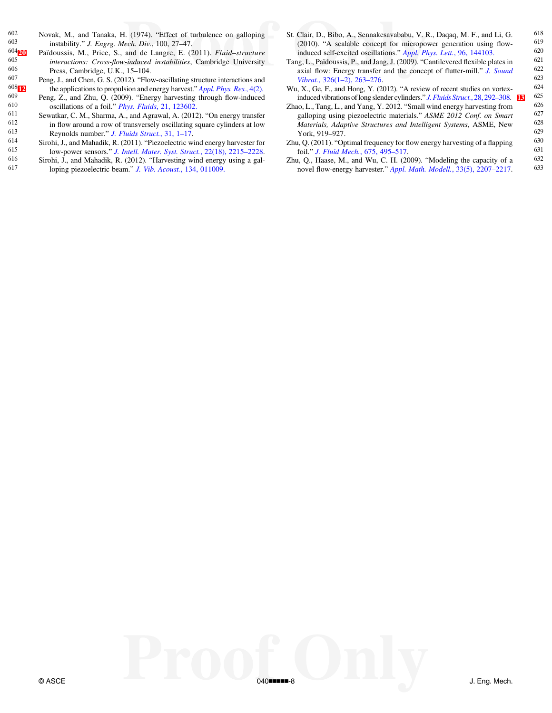- 
- 
- 
- 
- 
- 
- 
- <span id="page-7-0"></span>602 Novak, M., and Tanaka, H. (1974). "Effect of turbulence on galloping 603 instebility." *L* Engag, *Magh*, Div. 100, 27, 47 <sup>603</sup> instability." *J. Engrg. Mech. Div.*, 100, 27–47.<br><sup>604</sup><sub>[7]</sub> Païdoussis, M., Price, S., and de Langre, E. (2)
- $\frac{604}{20}$  $\frac{604}{20}$  $\frac{604}{20}$  Païdoussis, M., Price, S., and de Langre, E. (2011). Fluid–structure  $\frac{605}{20}$  interactions: Cross-flow-induced instabilities. Cambridge University  $\frac{605}{606}$  interactions: Cross-flow-induced instabilities, Cambridge University<br> $\frac{606}{606}$  Press Cambridge U.K. 15–104  $606$  Press, Cambridge, U.K., 15–104.<br> $607$  Peng L and Chen G S (2012) "Flow
- <sup>607</sup> Peng, J., and Chen, G. S. (2012). "Flow-oscillating structure interactions and  $\frac{608}{\text{F}}$  the applications to propulsion and energy harvest." *Appl. Phys. Res.*, 4(2). 608 $\Box$  the applications to propulsion and energy harvest." [Appl. Phys. Res.](http://dx.doi.org/10.5539/apr.v4n2p1), 4(2).<br>609 Dong Z, and Zby O, (2000). "Energy harvesting through flow induced
- <sup>609</sup> Peng, Z., and Zhu, Q. (2009). "Energy harvesting through flow-induced our oscillations of a foil "*Phys Fluids* 21, 123602 <sup>610</sup> oscillations of a foil." *Phys. Fluids*[, 21, 123602.](http://dx.doi.org/10.1063/1.3275852)<br><sup>611</sup> Sewatkar, C. M. Sharma, A., and Agrawal, A. (2012)
- 611 Sewatkar, C. M., Sharma, A., and Agrawal, A. (2012). "On energy transfer 612 in flow around a row of transversely oscillating square cylinders at low  $\frac{612}{613}$  in flow around a row of transversely oscillating square cylinders at low  $\frac{613}{613}$
- 613 Reynolds number." *[J. Fluids Struct.](http://dx.doi.org/10.1016/j.jfluidstructs.2012.03.002)*, 31, 1–17.<br>614 Sirohi, J., and Mahadik, R. (2011). "Piezoelectric wind energy harvester for<br>615 Iow-nower sensors "*J. Intell Mater. Syst. Struct.* 22(18). 2215–2228.
- 615 low-power sensors." *[J. Intell. Mater. Syst. Struct.](http://dx.doi.org/10.1177/1045389X11428366)*, 22(18), 2215–2228.<br>616 Sirohi, J., and Mahadik, R. (2012). "Harvesting wind energy using a gal-<br>617 loning piezoelectric beam." *J. Vib. Acoust*. 134, 011009 loping piezoelectric beam." J. Vib. Acoust.[, 134, 011009.](http://dx.doi.org/10.1115/1.4004674)
- <sup>618</sup> St. Clair, D., Bibo, A., Sennakesavababu, V. R., Daqaq, M. F., and Li, G. (2010). "A scalable concept for micropower generation using flow-<br>induced self-excited oscillations." [Appl. Phys. Lett.](http://dx.doi.org/10.1063/1.3385780), 96, 144103. 620<br>on L. Païdoussis P. and Jang J. (2009). "Cantilevered flexible plates in 621
- Tang, L., Païdoussis, P., and Jang, J. (2009). "Cantilevered flexible plates in  $^{621}$  axial flow: Epergy transfer and the concept of flutter-mill " J. Sound  $^{622}$ axial flow: Energy transfer and the concept of flutter-mill." *[J. Sound](http://dx.doi.org/10.1016/j.jsv.2009.04.041)* 622<br>Vibrat 326(1–2) 263–276 Vibrat.,  $326(1-2)$ ,  $263-276$ . 623<br>  $\bullet$  Ge E and Hong V (2012) "A raview of recent studies on vortex 624
- Wu, X., Ge, F., and Hong, Y. (2012). "A review of recent studies on vortex-<br>induced vibrations of long slopder ovlinders " L Elvide Struct, 28, 202, 202, FRI induced vibrations of long slender cylinders." *J. Fluids Struct*., 28, 292–308. **[13](#page-8-0)** 626<br>ao I Tang J and Yang Y 2012 "Small wind energy harvesting from 626
- Zhao, L., Tang, L., and Yang, Y. 2012. "Small wind energy harvesting from  $\frac{626}{\text{sallonine}}$  using piezoelectric materials "ASME 2012 Conf. on Smart  $\frac{627}{\text{galon}}$ galloping using piezoelectric materials." ASME 2012 Conf. on Smart  $\frac{627}{628}$ <br>Materials Adaptive Structures and Intelligent Systems ASME New  $\frac{628}{628}$ *Materials, Adaptive Structures and Intelligent Systems, ASME, New*  $628$   $629$ 629<br>29 – York, 919–927.<br>20 – 630 – O (2011) "Ontimal frequency for flow energy baryesting of a flanning of the C
- Zhu, Q. (2011). "Optimal frequency for flow energy harvesting of a flapping  $\frac{630}{631}$ " J. Fluid Mech. 675, 495–517. foil." *[J. Fluid Mech.](http://dx.doi.org/10.1017/S0022112011000334)*, 675, 495–517.  $\frac{631}{1000}$  (531 m) O Haase M and Wu C H (2009) "Modeling the canacity of a  $\frac{632}{1000}$
- Zhu, Q., Haase, M., and Wu, C. H. (2009). "Modeling the capacity of a  $^{632}$  novel flow-energy harvester." Annl Math Modell 33(5) 2207-2217 633 novel flow-energy harvester." [Appl. Math. Modell.](http://dx.doi.org/10.1016/j.apm.2008.05.027), 33(5), 2207-2217.